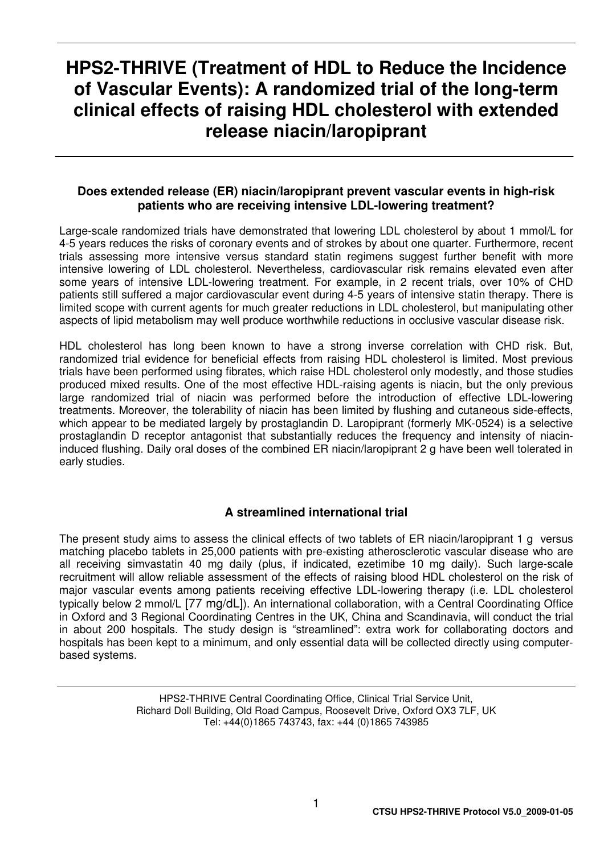## **HPS2-THRIVE (Treatment of HDL to Reduce the Incidence of Vascular Events): A randomized trial of the long-term clinical effects of raising HDL cholesterol with extended release niacin/laropiprant**

#### **Does extended release (ER) niacin/laropiprant prevent vascular events in high-risk patients who are receiving intensive LDL-lowering treatment?**

Large-scale randomized trials have demonstrated that lowering LDL cholesterol by about 1 mmol/L for 4-5 years reduces the risks of coronary events and of strokes by about one quarter. Furthermore, recent trials assessing more intensive versus standard statin regimens suggest further benefit with more intensive lowering of LDL cholesterol. Nevertheless, cardiovascular risk remains elevated even after some years of intensive LDL-lowering treatment. For example, in 2 recent trials, over 10% of CHD patients still suffered a major cardiovascular event during 4-5 years of intensive statin therapy. There is limited scope with current agents for much greater reductions in LDL cholesterol, but manipulating other aspects of lipid metabolism may well produce worthwhile reductions in occlusive vascular disease risk.

HDL cholesterol has long been known to have a strong inverse correlation with CHD risk. But, randomized trial evidence for beneficial effects from raising HDL cholesterol is limited. Most previous trials have been performed using fibrates, which raise HDL cholesterol only modestly, and those studies produced mixed results. One of the most effective HDL-raising agents is niacin, but the only previous large randomized trial of niacin was performed before the introduction of effective LDL-lowering treatments. Moreover, the tolerability of niacin has been limited by flushing and cutaneous side-effects, which appear to be mediated largely by prostaglandin D. Laropiprant (formerly MK-0524) is a selective prostaglandin D receptor antagonist that substantially reduces the frequency and intensity of niacininduced flushing. Daily oral doses of the combined ER niacin/laropiprant 2 g have been well tolerated in early studies.

#### **A streamlined international trial**

The present study aims to assess the clinical effects of two tablets of ER niacin/laropiprant 1 g versus matching placebo tablets in 25,000 patients with pre-existing atherosclerotic vascular disease who are all receiving simvastatin 40 mg daily (plus, if indicated, ezetimibe 10 mg daily). Such large-scale recruitment will allow reliable assessment of the effects of raising blood HDL cholesterol on the risk of major vascular events among patients receiving effective LDL-lowering therapy (i.e. LDL cholesterol typically below 2 mmol/L [77 mg/dL]). An international collaboration, with a Central Coordinating Office in Oxford and 3 Regional Coordinating Centres in the UK, China and Scandinavia, will conduct the trial in about 200 hospitals. The study design is "streamlined": extra work for collaborating doctors and hospitals has been kept to a minimum, and only essential data will be collected directly using computerbased systems.

> HPS2-THRIVE Central Coordinating Office, Clinical Trial Service Unit, Richard Doll Building, Old Road Campus, Roosevelt Drive, Oxford OX3 7LF, UK Tel: +44(0)1865 743743, fax: +44 (0)1865 743985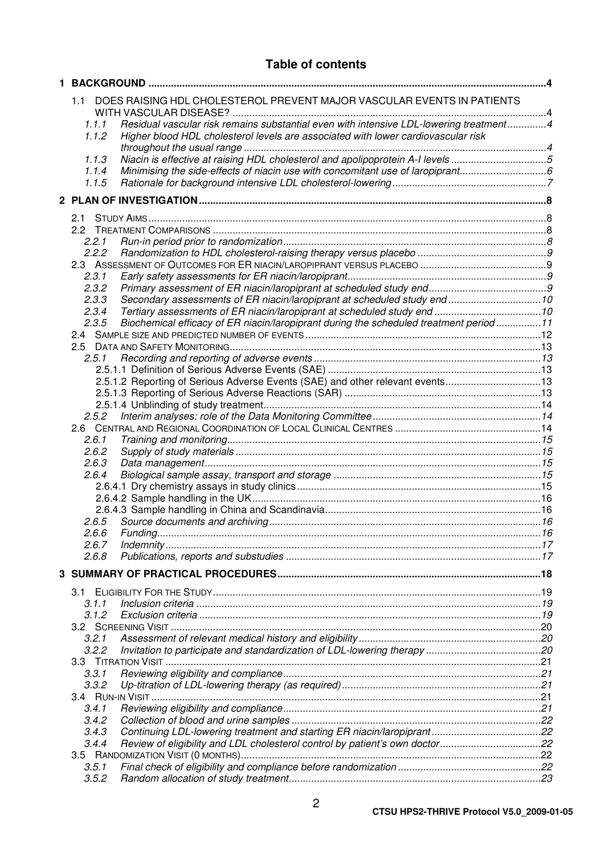| 1. |                |                                                                                        |  |
|----|----------------|----------------------------------------------------------------------------------------|--|
|    | 1.1            | DOES RAISING HDL CHOLESTEROL PREVENT MAJOR VASCULAR EVENTS IN PATIENTS                 |  |
|    | 1.1.1          | Residual vascular risk remains substantial even with intensive LDL-lowering treatment4 |  |
|    | 1.1.2          | Higher blood HDL cholesterol levels are associated with lower cardiovascular risk      |  |
|    |                |                                                                                        |  |
|    | 1.1.3          | Niacin is effective at raising HDL cholesterol and apolipoprotein A-I levels 5         |  |
|    | 1.1.4          | Minimising the side-effects of niacin use with concomitant use of laropiprant          |  |
|    | 1.1.5          |                                                                                        |  |
|    |                |                                                                                        |  |
|    | 2.1            |                                                                                        |  |
|    |                |                                                                                        |  |
|    | 2.2.1          |                                                                                        |  |
|    | 2.2.2          |                                                                                        |  |
|    |                |                                                                                        |  |
|    | 2.3.1          |                                                                                        |  |
|    | 2.3.2          |                                                                                        |  |
|    | 2.3.3          | Secondary assessments of ER niacin/laropiprant at scheduled study end  10              |  |
|    | 2.3.4          |                                                                                        |  |
|    | 2.3.5          | Biochemical efficacy of ER niacin/laropiprant during the scheduled treatment period11  |  |
|    |                |                                                                                        |  |
|    |                |                                                                                        |  |
|    | 2.5.1          |                                                                                        |  |
|    |                |                                                                                        |  |
|    |                | 2.5.1.2 Reporting of Serious Adverse Events (SAE) and other relevant events13          |  |
|    |                |                                                                                        |  |
|    |                |                                                                                        |  |
|    | 2.5.2          |                                                                                        |  |
|    | 2.6.1          |                                                                                        |  |
|    | 2.6.2          |                                                                                        |  |
|    | 2.6.3          |                                                                                        |  |
|    | 2.6.4          |                                                                                        |  |
|    |                |                                                                                        |  |
|    |                |                                                                                        |  |
|    |                |                                                                                        |  |
|    | 2.6.5          |                                                                                        |  |
|    | 2.6.6 Fundina. |                                                                                        |  |
|    | 2.6.7          |                                                                                        |  |
|    | 2.6.8          |                                                                                        |  |
|    |                |                                                                                        |  |
|    |                |                                                                                        |  |
|    | 3.1            |                                                                                        |  |
|    | 3.1.1<br>3.1.2 |                                                                                        |  |
|    |                |                                                                                        |  |
|    | 3.2.1          |                                                                                        |  |
|    | 3.2.2          |                                                                                        |  |
|    |                |                                                                                        |  |
|    | 3.3.1          |                                                                                        |  |
|    | 3.3.2          |                                                                                        |  |
|    |                |                                                                                        |  |
|    | 3.4.1          |                                                                                        |  |
|    | 3.4.2          |                                                                                        |  |
|    | 3.4.3          |                                                                                        |  |
|    | 3.4.4          | Review of eligibility and LDL cholesterol control by patient's own doctor22            |  |
|    |                |                                                                                        |  |
|    | 3.5.1          |                                                                                        |  |
|    | 3.5.2          |                                                                                        |  |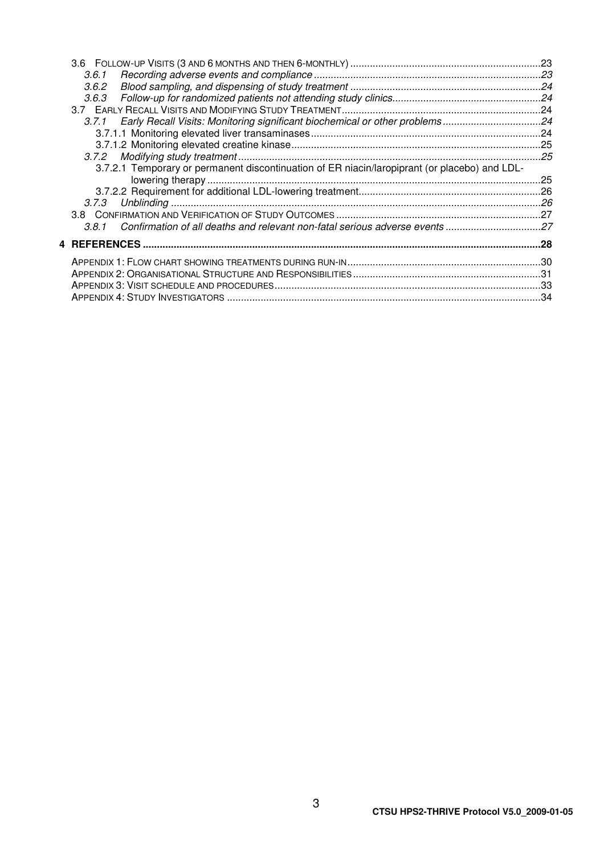| 3.6.1                                                                                         |  |
|-----------------------------------------------------------------------------------------------|--|
| 3.6.2                                                                                         |  |
|                                                                                               |  |
|                                                                                               |  |
| 3.7.1 Early Recall Visits: Monitoring significant biochemical or other problems24             |  |
|                                                                                               |  |
|                                                                                               |  |
|                                                                                               |  |
| 3.7.2.1 Temporary or permanent discontinuation of ER niacin/laropiprant (or placebo) and LDL- |  |
|                                                                                               |  |
|                                                                                               |  |
|                                                                                               |  |
|                                                                                               |  |
| 3.8.1 Confirmation of all deaths and relevant non-fatal serious adverse events 27             |  |
|                                                                                               |  |
|                                                                                               |  |
|                                                                                               |  |
|                                                                                               |  |
|                                                                                               |  |
|                                                                                               |  |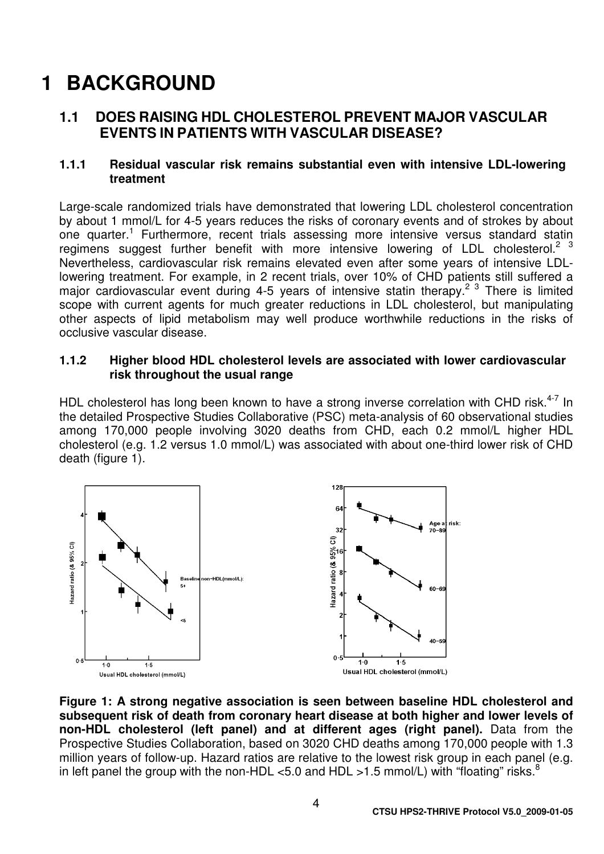# **1 BACKGROUND**

## **1.1 DOES RAISING HDL CHOLESTEROL PREVENT MAJOR VASCULAR EVENTS IN PATIENTS WITH VASCULAR DISEASE?**

#### **1.1.1 Residual vascular risk remains substantial even with intensive LDL-lowering treatment**

Large-scale randomized trials have demonstrated that lowering LDL cholesterol concentration by about 1 mmol/L for 4-5 years reduces the risks of coronary events and of strokes by about one quarter.<sup>1</sup> Furthermore, recent trials assessing more intensive versus standard statin regimens suggest further benefit with more intensive lowering of LDL cholesterol.<sup>2</sup> <sup>3</sup> Nevertheless, cardiovascular risk remains elevated even after some years of intensive LDLlowering treatment. For example, in 2 recent trials, over 10% of CHD patients still suffered a major cardiovascular event during 4-5 years of intensive statin therapy.<sup>2 3</sup> There is limited scope with current agents for much greater reductions in LDL cholesterol, but manipulating other aspects of lipid metabolism may well produce worthwhile reductions in the risks of occlusive vascular disease.

#### **1.1.2 Higher blood HDL cholesterol levels are associated with lower cardiovascular risk throughout the usual range**

HDL cholesterol has long been known to have a strong inverse correlation with CHD risk.<sup>4-7</sup> In the detailed Prospective Studies Collaborative (PSC) meta-analysis of 60 observational studies among 170,000 people involving 3020 deaths from CHD, each 0.2 mmol/L higher HDL cholesterol (e.g. 1.2 versus 1.0 mmol/L) was associated with about one-third lower risk of CHD death (figure 1).



**Figure 1: A strong negative association is seen between baseline HDL cholesterol and subsequent risk of death from coronary heart disease at both higher and lower levels of non-HDL cholesterol (left panel) and at different ages (right panel).** Data from the Prospective Studies Collaboration, based on 3020 CHD deaths among 170,000 people with 1.3 million years of follow-up. Hazard ratios are relative to the lowest risk group in each panel (e.g. in left panel the group with the non-HDL <5.0 and HDL >1.5 mmol/L) with "floating" risks.<sup>8</sup>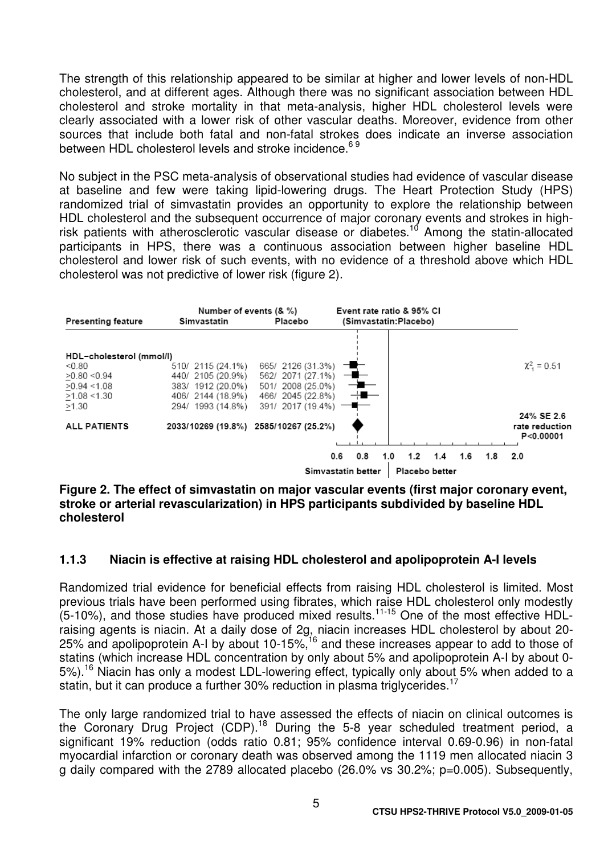The strength of this relationship appeared to be similar at higher and lower levels of non-HDL cholesterol, and at different ages. Although there was no significant association between HDL cholesterol and stroke mortality in that meta-analysis, higher HDL cholesterol levels were clearly associated with a lower risk of other vascular deaths. Moreover, evidence from other sources that include both fatal and non-fatal strokes does indicate an inverse association between HDL cholesterol levels and stroke incidence.<sup>69</sup>

No subject in the PSC meta-analysis of observational studies had evidence of vascular disease at baseline and few were taking lipid-lowering drugs. The Heart Protection Study (HPS) randomized trial of simvastatin provides an opportunity to explore the relationship between HDL cholesterol and the subsequent occurrence of major coronary events and strokes in highrisk patients with atherosclerotic vascular disease or diabetes.<sup>10</sup> Among the statin-allocated participants in HPS, there was a continuous association between higher baseline HDL cholesterol and lower risk of such events, with no evidence of a threshold above which HDL cholesterol was not predictive of lower risk (figure 2).



**Figure 2. The effect of simvastatin on major vascular events (first major coronary event, stroke or arterial revascularization) in HPS participants subdivided by baseline HDL cholesterol** 

#### **1.1.3 Niacin is effective at raising HDL cholesterol and apolipoprotein A-I levels**

Randomized trial evidence for beneficial effects from raising HDL cholesterol is limited. Most previous trials have been performed using fibrates, which raise HDL cholesterol only modestly  $(5-10%)$ , and those studies have produced mixed results.<sup>11-15</sup> One of the most effective HDLraising agents is niacin. At a daily dose of 2g, niacin increases HDL cholesterol by about 20- 25% and apolipoprotein A-I by about 10-15%,<sup>16</sup> and these increases appear to add to those of statins (which increase HDL concentration by only about 5% and apolipoprotein A-I by about 0- 5%).<sup>16</sup> Niacin has only a modest LDL-lowering effect, typically only about 5% when added to a statin, but it can produce a further 30% reduction in plasma triglycerides.<sup>17</sup>

The only large randomized trial to have assessed the effects of niacin on clinical outcomes is the Coronary Drug Project (CDP).<sup>18</sup> During the 5-8 year scheduled treatment period, a significant 19% reduction (odds ratio 0.81; 95% confidence interval 0.69-0.96) in non-fatal myocardial infarction or coronary death was observed among the 1119 men allocated niacin 3 g daily compared with the 2789 allocated placebo (26.0% vs 30.2%; p=0.005). Subsequently,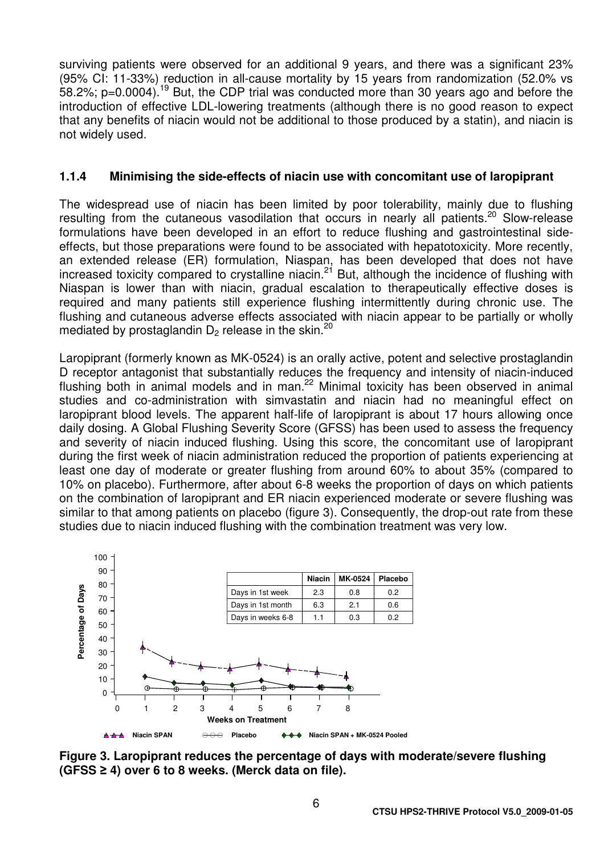surviving patients were observed for an additional 9 years, and there was a significant 23% (95% CI: 11-33%) reduction in all-cause mortality by 15 years from randomization (52.0% vs 58.2%; p=0.0004).<sup>19</sup> But, the CDP trial was conducted more than 30 years ago and before the introduction of effective LDL-lowering treatments (although there is no good reason to expect that any benefits of niacin would not be additional to those produced by a statin), and niacin is not widely used.

#### **1.1.4 Minimising the side-effects of niacin use with concomitant use of laropiprant**

The widespread use of niacin has been limited by poor tolerability, mainly due to flushing resulting from the cutaneous vasodilation that occurs in nearly all patients.<sup>20</sup> Slow-release formulations have been developed in an effort to reduce flushing and gastrointestinal sideeffects, but those preparations were found to be associated with hepatotoxicity. More recently, an extended release (ER) formulation, Niaspan, has been developed that does not have increased toxicity compared to crystalline niacin.<sup>21</sup> But, although the incidence of flushing with Niaspan is lower than with niacin, gradual escalation to therapeutically effective doses is required and many patients still experience flushing intermittently during chronic use. The flushing and cutaneous adverse effects associated with niacin appear to be partially or wholly mediated by prostaglandin  $D_2$  release in the skin.<sup>20</sup>

Laropiprant (formerly known as MK-0524) is an orally active, potent and selective prostaglandin D receptor antagonist that substantially reduces the frequency and intensity of niacin-induced flushing both in animal models and in man.<sup>22</sup> Minimal toxicity has been observed in animal studies and co-administration with simvastatin and niacin had no meaningful effect on laropiprant blood levels. The apparent half-life of laropiprant is about 17 hours allowing once daily dosing. A Global Flushing Severity Score (GFSS) has been used to assess the frequency and severity of niacin induced flushing. Using this score, the concomitant use of laropiprant during the first week of niacin administration reduced the proportion of patients experiencing at least one day of moderate or greater flushing from around 60% to about 35% (compared to 10% on placebo). Furthermore, after about 6-8 weeks the proportion of days on which patients on the combination of laropiprant and ER niacin experienced moderate or severe flushing was similar to that among patients on placebo (figure 3). Consequently, the drop-out rate from these studies due to niacin induced flushing with the combination treatment was very low.



**Figure 3. Laropiprant reduces the percentage of days with moderate/severe flushing (GFSS** ≥ **4) over 6 to 8 weeks. (Merck data on file).**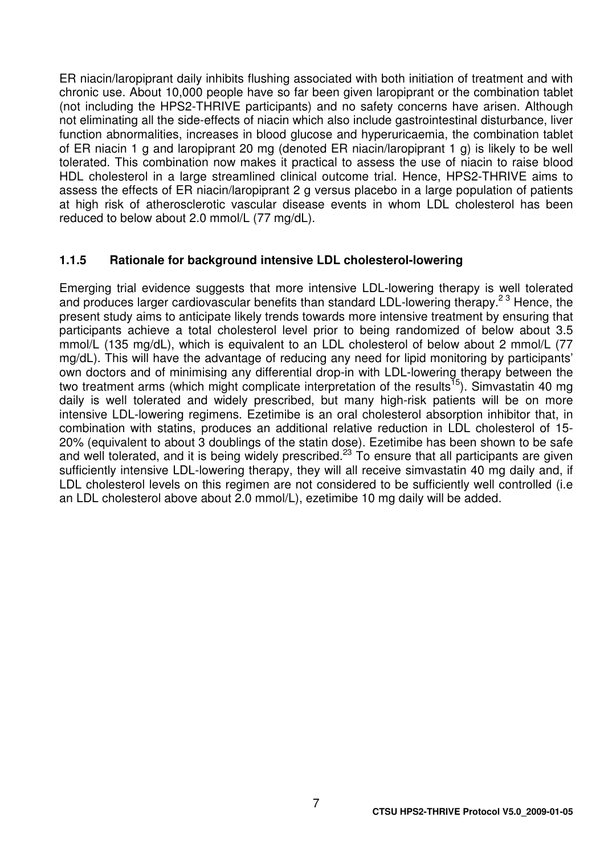ER niacin/laropiprant daily inhibits flushing associated with both initiation of treatment and with chronic use. About 10,000 people have so far been given laropiprant or the combination tablet (not including the HPS2-THRIVE participants) and no safety concerns have arisen. Although not eliminating all the side-effects of niacin which also include gastrointestinal disturbance, liver function abnormalities, increases in blood glucose and hyperuricaemia, the combination tablet of ER niacin 1 g and laropiprant 20 mg (denoted ER niacin/laropiprant 1 g) is likely to be well tolerated. This combination now makes it practical to assess the use of niacin to raise blood HDL cholesterol in a large streamlined clinical outcome trial. Hence, HPS2-THRIVE aims to assess the effects of ER niacin/laropiprant 2 g versus placebo in a large population of patients at high risk of atherosclerotic vascular disease events in whom LDL cholesterol has been reduced to below about 2.0 mmol/L (77 mg/dL).

#### **1.1.5 Rationale for background intensive LDL cholesterol-lowering**

Emerging trial evidence suggests that more intensive LDL-lowering therapy is well tolerated and produces larger cardiovascular benefits than standard LDL-lowering therapy.<sup>23</sup> Hence, the present study aims to anticipate likely trends towards more intensive treatment by ensuring that participants achieve a total cholesterol level prior to being randomized of below about 3.5 mmol/L (135 mg/dL), which is equivalent to an LDL cholesterol of below about 2 mmol/L (77 mg/dL). This will have the advantage of reducing any need for lipid monitoring by participants' own doctors and of minimising any differential drop-in with LDL-lowering therapy between the two treatment arms (which might complicate interpretation of the results<sup>15</sup>). Simvastatin 40 mg daily is well tolerated and widely prescribed, but many high-risk patients will be on more intensive LDL-lowering regimens. Ezetimibe is an oral cholesterol absorption inhibitor that, in combination with statins, produces an additional relative reduction in LDL cholesterol of 15- 20% (equivalent to about 3 doublings of the statin dose). Ezetimibe has been shown to be safe and well tolerated, and it is being widely prescribed.<sup>23</sup> To ensure that all participants are given sufficiently intensive LDL-lowering therapy, they will all receive simvastatin 40 mg daily and, if LDL cholesterol levels on this regimen are not considered to be sufficiently well controlled (i.e an LDL cholesterol above about 2.0 mmol/L), ezetimibe 10 mg daily will be added.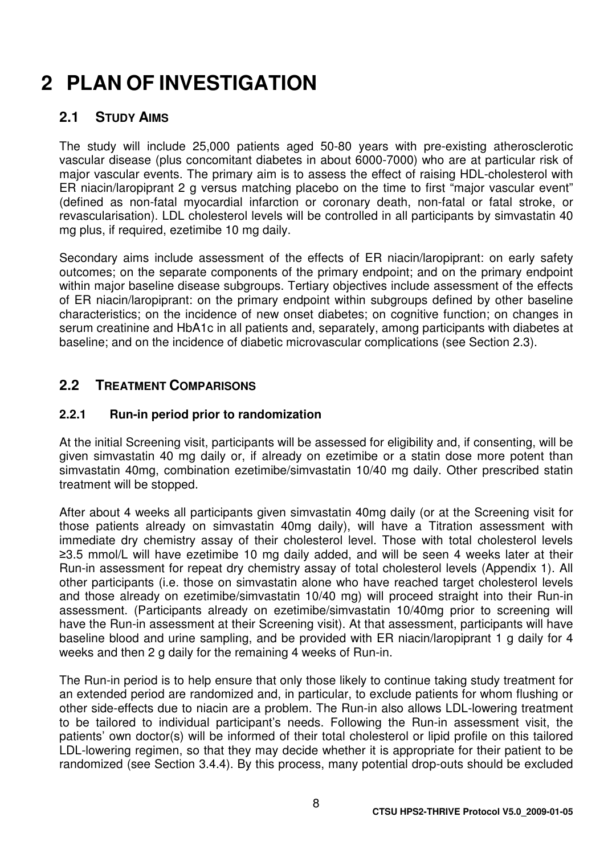# **2 PLAN OF INVESTIGATION**

## **2.1 STUDY AIMS**

The study will include 25,000 patients aged 50-80 years with pre-existing atherosclerotic vascular disease (plus concomitant diabetes in about 6000-7000) who are at particular risk of major vascular events. The primary aim is to assess the effect of raising HDL-cholesterol with ER niacin/laropiprant 2 g versus matching placebo on the time to first "major vascular event" (defined as non-fatal myocardial infarction or coronary death, non-fatal or fatal stroke, or revascularisation). LDL cholesterol levels will be controlled in all participants by simvastatin 40 mg plus, if required, ezetimibe 10 mg daily.

Secondary aims include assessment of the effects of ER niacin/laropiprant: on early safety outcomes; on the separate components of the primary endpoint; and on the primary endpoint within major baseline disease subgroups. Tertiary objectives include assessment of the effects of ER niacin/laropiprant: on the primary endpoint within subgroups defined by other baseline characteristics; on the incidence of new onset diabetes; on cognitive function; on changes in serum creatinine and HbA1c in all patients and, separately, among participants with diabetes at baseline; and on the incidence of diabetic microvascular complications (see Section 2.3).

## **2.2 TREATMENT COMPARISONS**

### **2.2.1 Run-in period prior to randomization**

At the initial Screening visit, participants will be assessed for eligibility and, if consenting, will be given simvastatin 40 mg daily or, if already on ezetimibe or a statin dose more potent than simvastatin 40mg, combination ezetimibe/simvastatin 10/40 mg daily. Other prescribed statin treatment will be stopped.

After about 4 weeks all participants given simvastatin 40mg daily (or at the Screening visit for those patients already on simvastatin 40mg daily), will have a Titration assessment with immediate dry chemistry assay of their cholesterol level. Those with total cholesterol levels ≥3.5 mmol/L will have ezetimibe 10 mg daily added, and will be seen 4 weeks later at their Run-in assessment for repeat dry chemistry assay of total cholesterol levels (Appendix 1). All other participants (i.e. those on simvastatin alone who have reached target cholesterol levels and those already on ezetimibe/simvastatin 10/40 mg) will proceed straight into their Run-in assessment. (Participants already on ezetimibe/simvastatin 10/40mg prior to screening will have the Run-in assessment at their Screening visit). At that assessment, participants will have baseline blood and urine sampling, and be provided with ER niacin/laropiprant 1 g daily for 4 weeks and then 2 g daily for the remaining 4 weeks of Run-in.

The Run-in period is to help ensure that only those likely to continue taking study treatment for an extended period are randomized and, in particular, to exclude patients for whom flushing or other side-effects due to niacin are a problem. The Run-in also allows LDL-lowering treatment to be tailored to individual participant's needs. Following the Run-in assessment visit, the patients' own doctor(s) will be informed of their total cholesterol or lipid profile on this tailored LDL-lowering regimen, so that they may decide whether it is appropriate for their patient to be randomized (see Section 3.4.4). By this process, many potential drop-outs should be excluded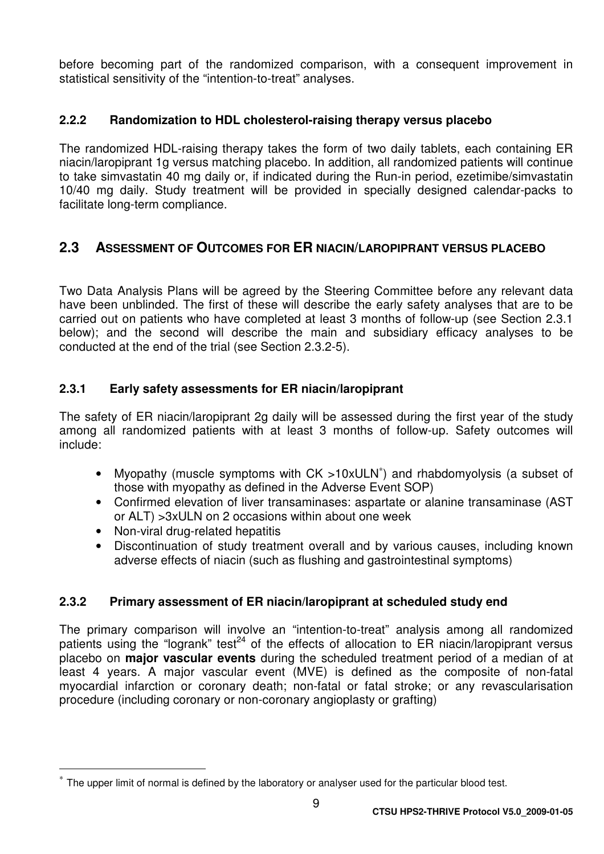before becoming part of the randomized comparison, with a consequent improvement in statistical sensitivity of the "intention-to-treat" analyses.

#### **2.2.2 Randomization to HDL cholesterol-raising therapy versus placebo**

The randomized HDL-raising therapy takes the form of two daily tablets, each containing ER niacin/laropiprant 1g versus matching placebo. In addition, all randomized patients will continue to take simvastatin 40 mg daily or, if indicated during the Run-in period, ezetimibe/simvastatin 10/40 mg daily. Study treatment will be provided in specially designed calendar-packs to facilitate long-term compliance.

### **2.3 ASSESSMENT OF OUTCOMES FOR ER NIACIN/LAROPIPRANT VERSUS PLACEBO**

Two Data Analysis Plans will be agreed by the Steering Committee before any relevant data have been unblinded. The first of these will describe the early safety analyses that are to be carried out on patients who have completed at least 3 months of follow-up (see Section 2.3.1 below); and the second will describe the main and subsidiary efficacy analyses to be conducted at the end of the trial (see Section 2.3.2-5).

#### **2.3.1 Early safety assessments for ER niacin/laropiprant**

The safety of ER niacin/laropiprant 2g daily will be assessed during the first year of the study among all randomized patients with at least 3 months of follow-up. Safety outcomes will include:

- Myopathy (muscle symptoms with CK >10xULN<sup>∗</sup> ) and rhabdomyolysis (a subset of those with myopathy as defined in the Adverse Event SOP)
- Confirmed elevation of liver transaminases: aspartate or alanine transaminase (AST or ALT) >3xULN on 2 occasions within about one week
- Non-viral drug-related hepatitis

 $\overline{a}$ 

• Discontinuation of study treatment overall and by various causes, including known adverse effects of niacin (such as flushing and gastrointestinal symptoms)

#### **2.3.2 Primary assessment of ER niacin/laropiprant at scheduled study end**

The primary comparison will involve an "intention-to-treat" analysis among all randomized patients using the "logrank" test<sup>24</sup> of the effects of allocation to ER niacin/laropiprant versus placebo on **major vascular events** during the scheduled treatment period of a median of at least 4 years. A major vascular event (MVE) is defined as the composite of non-fatal myocardial infarction or coronary death; non-fatal or fatal stroke; or any revascularisation procedure (including coronary or non-coronary angioplasty or grafting)

<sup>∗</sup> The upper limit of normal is defined by the laboratory or analyser used for the particular blood test.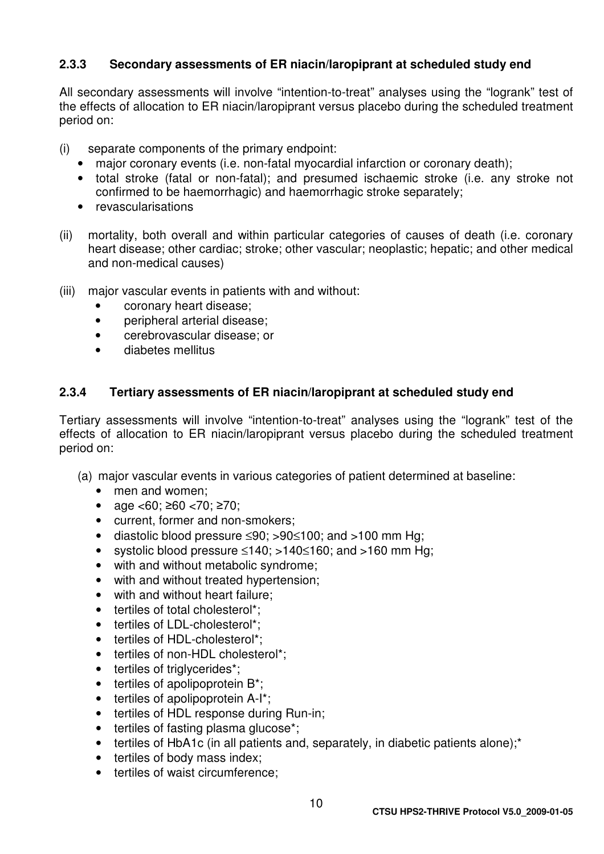#### **2.3.3 Secondary assessments of ER niacin/laropiprant at scheduled study end**

All secondary assessments will involve "intention-to-treat" analyses using the "logrank" test of the effects of allocation to ER niacin/laropiprant versus placebo during the scheduled treatment period on:

- (i) separate components of the primary endpoint:
	- major coronary events (i.e. non-fatal myocardial infarction or coronary death);
	- total stroke (fatal or non-fatal); and presumed ischaemic stroke (i.e. any stroke not confirmed to be haemorrhagic) and haemorrhagic stroke separately;
	- revascularisations
- (ii) mortality, both overall and within particular categories of causes of death (i.e. coronary heart disease; other cardiac; stroke; other vascular; neoplastic; hepatic; and other medical and non-medical causes)
- (iii) major vascular events in patients with and without:
	- coronary heart disease;
	- peripheral arterial disease;
	- cerebrovascular disease; or
	- diabetes mellitus

#### **2.3.4 Tertiary assessments of ER niacin/laropiprant at scheduled study end**

Tertiary assessments will involve "intention-to-treat" analyses using the "logrank" test of the effects of allocation to ER niacin/laropiprant versus placebo during the scheduled treatment period on:

- (a) major vascular events in various categories of patient determined at baseline:
	- men and women;
	- age  $<60$ :  $\geq 60$   $<70$ :  $\geq 70$ :
	- current, former and non-smokers;
	- diastolic blood pressure ≤90; >90≤100; and >100 mm Hg;
	- systolic blood pressure ≤140; >140≤160; and >160 mm Hg;
	- with and without metabolic syndrome;
	- with and without treated hypertension;
	- with and without heart failure:
	- tertiles of total cholesterol\*:
	- tertiles of LDL-cholesterol\*;
	- tertiles of HDL-cholesterol\*:
	- tertiles of non-HDL cholesterol\*:
	- tertiles of triglycerides\*;
	- tertiles of apolipoprotein B\*;
	- tertiles of apolipoprotein A-I<sup>\*</sup>;
	- tertiles of HDL response during Run-in;
	- tertiles of fasting plasma glucose\*;
	- tertiles of HbA1c (in all patients and, separately, in diabetic patients alone);\*
	- tertiles of body mass index;
	- tertiles of waist circumference;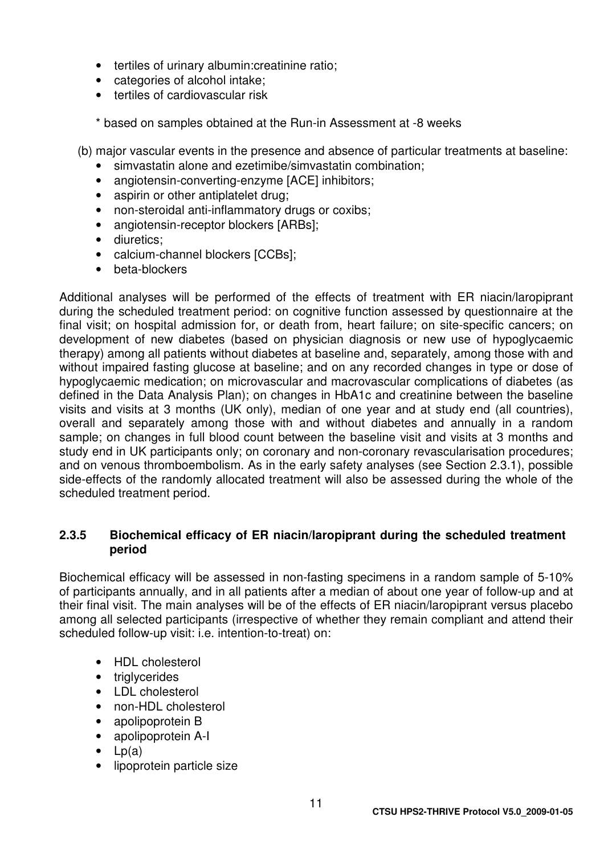- tertiles of urinary albumin: creatinine ratio:
- categories of alcohol intake;
- tertiles of cardiovascular risk

\* based on samples obtained at the Run-in Assessment at -8 weeks

(b) major vascular events in the presence and absence of particular treatments at baseline:

- simvastatin alone and ezetimibe/simvastatin combination;
- angiotensin-converting-enzyme [ACE] inhibitors;
- aspirin or other antiplatelet drug;
- non-steroidal anti-inflammatory drugs or coxibs;
- angiotensin-receptor blockers [ARBs];
- diuretics;
- calcium-channel blockers [CCBs];
- beta-blockers

Additional analyses will be performed of the effects of treatment with ER niacin/laropiprant during the scheduled treatment period: on cognitive function assessed by questionnaire at the final visit; on hospital admission for, or death from, heart failure; on site-specific cancers; on development of new diabetes (based on physician diagnosis or new use of hypoglycaemic therapy) among all patients without diabetes at baseline and, separately, among those with and without impaired fasting glucose at baseline; and on any recorded changes in type or dose of hypoglycaemic medication; on microvascular and macrovascular complications of diabetes (as defined in the Data Analysis Plan); on changes in HbA1c and creatinine between the baseline visits and visits at 3 months (UK only), median of one year and at study end (all countries), overall and separately among those with and without diabetes and annually in a random sample; on changes in full blood count between the baseline visit and visits at 3 months and study end in UK participants only; on coronary and non-coronary revascularisation procedures; and on venous thromboembolism. As in the early safety analyses (see Section 2.3.1), possible side-effects of the randomly allocated treatment will also be assessed during the whole of the scheduled treatment period.

#### **2.3.5 Biochemical efficacy of ER niacin/laropiprant during the scheduled treatment period**

Biochemical efficacy will be assessed in non-fasting specimens in a random sample of 5-10% of participants annually, and in all patients after a median of about one year of follow-up and at their final visit. The main analyses will be of the effects of ER niacin/laropiprant versus placebo among all selected participants (irrespective of whether they remain compliant and attend their scheduled follow-up visit: i.e. intention-to-treat) on:

- HDL cholesterol
- triglycerides
- LDL cholesterol
- non-HDL cholesterol
- apolipoprotein B
- apolipoprotein A-I
- $\bullet$  Lp(a)
- lipoprotein particle size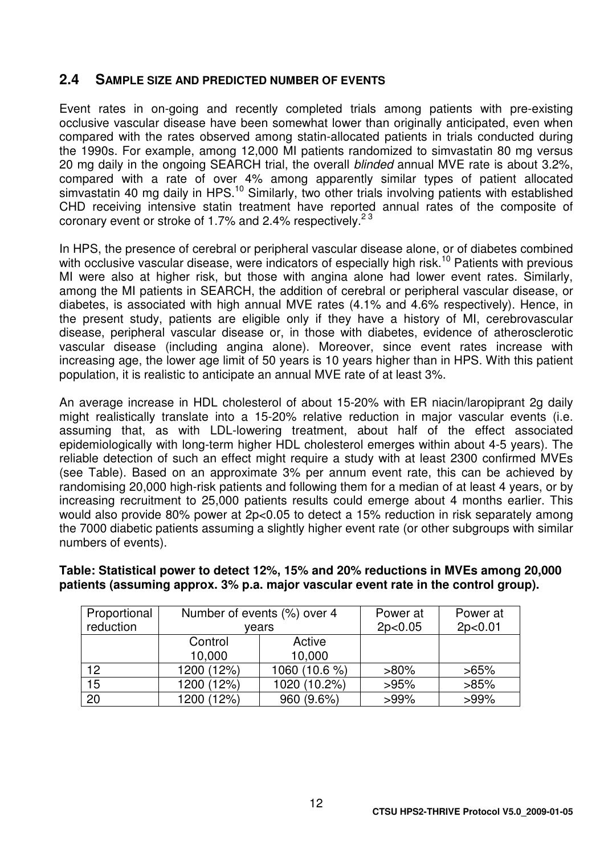#### **2.4 SAMPLE SIZE AND PREDICTED NUMBER OF EVENTS**

Event rates in on-going and recently completed trials among patients with pre-existing occlusive vascular disease have been somewhat lower than originally anticipated, even when compared with the rates observed among statin-allocated patients in trials conducted during the 1990s. For example, among 12,000 MI patients randomized to simvastatin 80 mg versus 20 mg daily in the ongoing SEARCH trial, the overall blinded annual MVE rate is about 3.2%, compared with a rate of over 4% among apparently similar types of patient allocated simvastatin 40 mg daily in HPS.<sup>10</sup> Similarly, two other trials involving patients with established CHD receiving intensive statin treatment have reported annual rates of the composite of coronary event or stroke of 1.7% and 2.4% respectively.<sup>23</sup>

In HPS, the presence of cerebral or peripheral vascular disease alone, or of diabetes combined with occlusive vascular disease, were indicators of especially high risk.<sup>10</sup> Patients with previous MI were also at higher risk, but those with angina alone had lower event rates. Similarly, among the MI patients in SEARCH, the addition of cerebral or peripheral vascular disease, or diabetes, is associated with high annual MVE rates (4.1% and 4.6% respectively). Hence, in the present study, patients are eligible only if they have a history of MI, cerebrovascular disease, peripheral vascular disease or, in those with diabetes, evidence of atherosclerotic vascular disease (including angina alone). Moreover, since event rates increase with increasing age, the lower age limit of 50 years is 10 years higher than in HPS. With this patient population, it is realistic to anticipate an annual MVE rate of at least 3%.

An average increase in HDL cholesterol of about 15-20% with ER niacin/laropiprant 2g daily might realistically translate into a 15-20% relative reduction in major vascular events (i.e. assuming that, as with LDL-lowering treatment, about half of the effect associated epidemiologically with long-term higher HDL cholesterol emerges within about 4-5 years). The reliable detection of such an effect might require a study with at least 2300 confirmed MVEs (see Table). Based on an approximate 3% per annum event rate, this can be achieved by randomising 20,000 high-risk patients and following them for a median of at least 4 years, or by increasing recruitment to 25,000 patients results could emerge about 4 months earlier. This would also provide 80% power at 2p<0.05 to detect a 15% reduction in risk separately among the 7000 diabetic patients assuming a slightly higher event rate (or other subgroups with similar numbers of events).

**Table: Statistical power to detect 12%, 15% and 20% reductions in MVEs among 20,000 patients (assuming approx. 3% p.a. major vascular event rate in the control group).** 

| Proportional | Number of events (%) over 4 |               | Power at | Power at |  |
|--------------|-----------------------------|---------------|----------|----------|--|
| reduction    | vears                       |               | 2p<0.05  | 2p<0.01  |  |
|              | Control                     | Active        |          |          |  |
|              | 10,000                      | 10,000        |          |          |  |
| 12           | 1200 (12%)                  | 1060 (10.6 %) | $>80\%$  | $>65\%$  |  |
| 15           | 1200 (12%)                  | 1020 (10.2%)  | >95%     | $>85\%$  |  |
| 20           | 1200 (12%)                  | 960 (9.6%)    | $>99\%$  | $>99\%$  |  |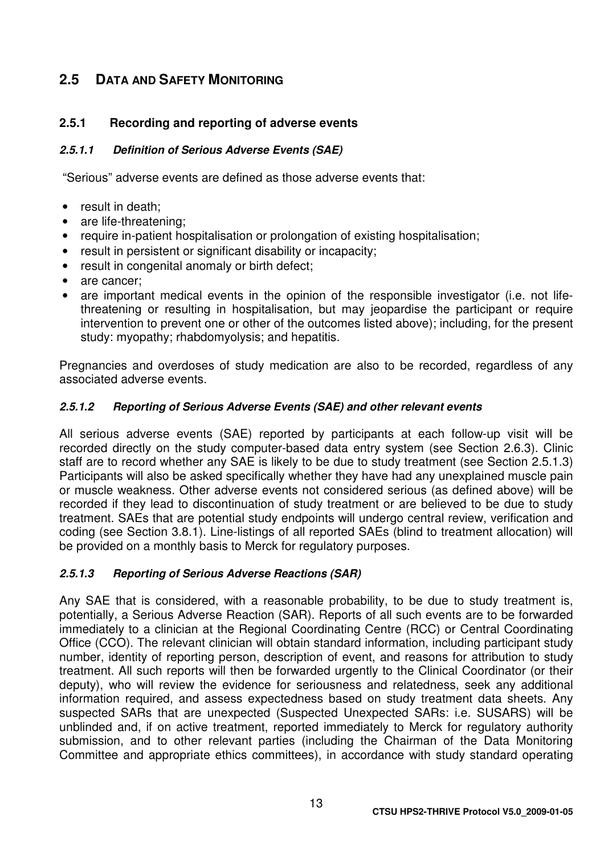## **2.5 DATA AND SAFETY MONITORING**

#### **2.5.1 Recording and reporting of adverse events**

#### **2.5.1.1 Definition of Serious Adverse Events (SAE)**

"Serious" adverse events are defined as those adverse events that:

- result in death:
- are life-threatening;
- require in-patient hospitalisation or prolongation of existing hospitalisation;
- result in persistent or significant disability or incapacity;
- result in congenital anomaly or birth defect;
- are cancer;
- are important medical events in the opinion of the responsible investigator (i.e. not lifethreatening or resulting in hospitalisation, but may jeopardise the participant or require intervention to prevent one or other of the outcomes listed above); including, for the present study: myopathy; rhabdomyolysis; and hepatitis.

Pregnancies and overdoses of study medication are also to be recorded, regardless of any associated adverse events.

#### **2.5.1.2 Reporting of Serious Adverse Events (SAE) and other relevant events**

All serious adverse events (SAE) reported by participants at each follow-up visit will be recorded directly on the study computer-based data entry system (see Section 2.6.3). Clinic staff are to record whether any SAE is likely to be due to study treatment (see Section 2.5.1.3) Participants will also be asked specifically whether they have had any unexplained muscle pain or muscle weakness. Other adverse events not considered serious (as defined above) will be recorded if they lead to discontinuation of study treatment or are believed to be due to study treatment. SAEs that are potential study endpoints will undergo central review, verification and coding (see Section 3.8.1). Line-listings of all reported SAEs (blind to treatment allocation) will be provided on a monthly basis to Merck for regulatory purposes.

#### **2.5.1.3 Reporting of Serious Adverse Reactions (SAR)**

Any SAE that is considered, with a reasonable probability, to be due to study treatment is, potentially, a Serious Adverse Reaction (SAR). Reports of all such events are to be forwarded immediately to a clinician at the Regional Coordinating Centre (RCC) or Central Coordinating Office (CCO). The relevant clinician will obtain standard information, including participant study number, identity of reporting person, description of event, and reasons for attribution to study treatment. All such reports will then be forwarded urgently to the Clinical Coordinator (or their deputy), who will review the evidence for seriousness and relatedness, seek any additional information required, and assess expectedness based on study treatment data sheets. Any suspected SARs that are unexpected (Suspected Unexpected SARs: i.e. SUSARS) will be unblinded and, if on active treatment, reported immediately to Merck for regulatory authority submission, and to other relevant parties (including the Chairman of the Data Monitoring Committee and appropriate ethics committees), in accordance with study standard operating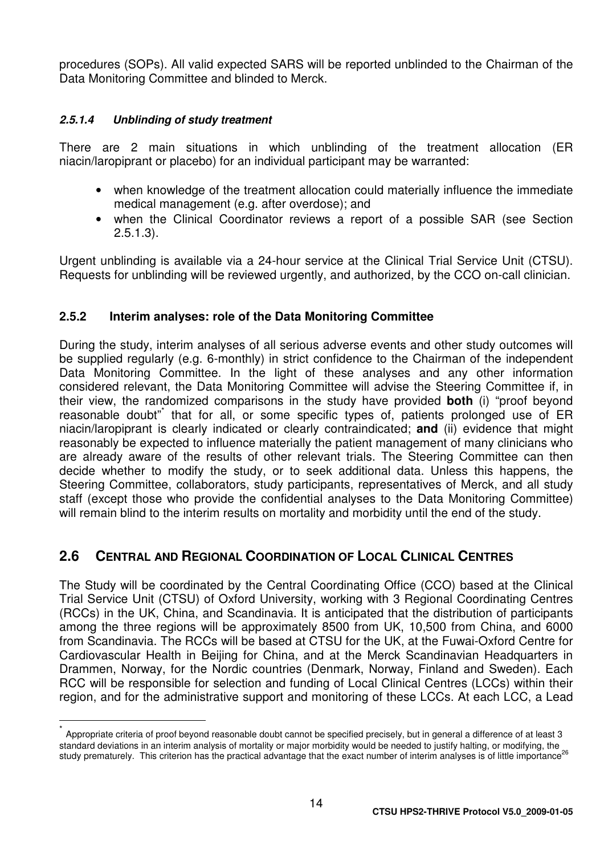procedures (SOPs). All valid expected SARS will be reported unblinded to the Chairman of the Data Monitoring Committee and blinded to Merck.

#### **2.5.1.4 Unblinding of study treatment**

 $\overline{1}$ 

There are 2 main situations in which unblinding of the treatment allocation (ER niacin/laropiprant or placebo) for an individual participant may be warranted:

- when knowledge of the treatment allocation could materially influence the immediate medical management (e.g. after overdose); and
- when the Clinical Coordinator reviews a report of a possible SAR (see Section 2.5.1.3).

Urgent unblinding is available via a 24-hour service at the Clinical Trial Service Unit (CTSU). Requests for unblinding will be reviewed urgently, and authorized, by the CCO on-call clinician.

#### **2.5.2 Interim analyses: role of the Data Monitoring Committee**

During the study, interim analyses of all serious adverse events and other study outcomes will be supplied regularly (e.g. 6-monthly) in strict confidence to the Chairman of the independent Data Monitoring Committee. In the light of these analyses and any other information considered relevant, the Data Monitoring Committee will advise the Steering Committee if, in their view, the randomized comparisons in the study have provided **both** (i) "proof beyond reasonable doubt" that for all, or some specific types of, patients prolonged use of ER niacin/laropiprant is clearly indicated or clearly contraindicated; **and** (ii) evidence that might reasonably be expected to influence materially the patient management of many clinicians who are already aware of the results of other relevant trials. The Steering Committee can then decide whether to modify the study, or to seek additional data. Unless this happens, the Steering Committee, collaborators, study participants, representatives of Merck, and all study staff (except those who provide the confidential analyses to the Data Monitoring Committee) will remain blind to the interim results on mortality and morbidity until the end of the study.

## **2.6 CENTRAL AND REGIONAL COORDINATION OF LOCAL CLINICAL CENTRES**

The Study will be coordinated by the Central Coordinating Office (CCO) based at the Clinical Trial Service Unit (CTSU) of Oxford University, working with 3 Regional Coordinating Centres (RCCs) in the UK, China, and Scandinavia. It is anticipated that the distribution of participants among the three regions will be approximately 8500 from UK, 10,500 from China, and 6000 from Scandinavia. The RCCs will be based at CTSU for the UK, at the Fuwai-Oxford Centre for Cardiovascular Health in Beijing for China, and at the Merck Scandinavian Headquarters in Drammen, Norway, for the Nordic countries (Denmark, Norway, Finland and Sweden). Each RCC will be responsible for selection and funding of Local Clinical Centres (LCCs) within their region, and for the administrative support and monitoring of these LCCs. At each LCC, a Lead

<sup>\*</sup> Appropriate criteria of proof beyond reasonable doubt cannot be specified precisely, but in general a difference of at least 3 standard deviations in an interim analysis of mortality or major morbidity would be needed to justify halting, or modifying, the study prematurely. This criterion has the practical advantage that the exact number of interim analyses is of little importance<sup>26</sup>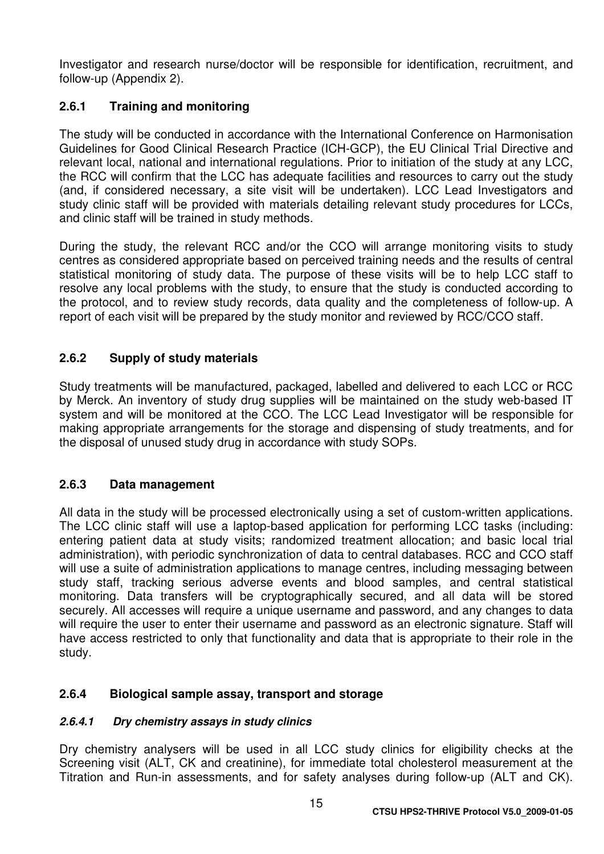Investigator and research nurse/doctor will be responsible for identification, recruitment, and follow-up (Appendix 2).

### **2.6.1 Training and monitoring**

The study will be conducted in accordance with the International Conference on Harmonisation Guidelines for Good Clinical Research Practice (ICH-GCP), the EU Clinical Trial Directive and relevant local, national and international regulations. Prior to initiation of the study at any LCC, the RCC will confirm that the LCC has adequate facilities and resources to carry out the study (and, if considered necessary, a site visit will be undertaken). LCC Lead Investigators and study clinic staff will be provided with materials detailing relevant study procedures for LCCs, and clinic staff will be trained in study methods.

During the study, the relevant RCC and/or the CCO will arrange monitoring visits to study centres as considered appropriate based on perceived training needs and the results of central statistical monitoring of study data. The purpose of these visits will be to help LCC staff to resolve any local problems with the study, to ensure that the study is conducted according to the protocol, and to review study records, data quality and the completeness of follow-up. A report of each visit will be prepared by the study monitor and reviewed by RCC/CCO staff.

#### **2.6.2 Supply of study materials**

Study treatments will be manufactured, packaged, labelled and delivered to each LCC or RCC by Merck. An inventory of study drug supplies will be maintained on the study web-based IT system and will be monitored at the CCO. The LCC Lead Investigator will be responsible for making appropriate arrangements for the storage and dispensing of study treatments, and for the disposal of unused study drug in accordance with study SOPs.

#### **2.6.3 Data management**

All data in the study will be processed electronically using a set of custom-written applications. The LCC clinic staff will use a laptop-based application for performing LCC tasks (including: entering patient data at study visits; randomized treatment allocation; and basic local trial administration), with periodic synchronization of data to central databases. RCC and CCO staff will use a suite of administration applications to manage centres, including messaging between study staff, tracking serious adverse events and blood samples, and central statistical monitoring. Data transfers will be cryptographically secured, and all data will be stored securely. All accesses will require a unique username and password, and any changes to data will require the user to enter their username and password as an electronic signature. Staff will have access restricted to only that functionality and data that is appropriate to their role in the study.

#### **2.6.4 Biological sample assay, transport and storage**

#### **2.6.4.1 Dry chemistry assays in study clinics**

Dry chemistry analysers will be used in all LCC study clinics for eligibility checks at the Screening visit (ALT, CK and creatinine), for immediate total cholesterol measurement at the Titration and Run-in assessments, and for safety analyses during follow-up (ALT and CK).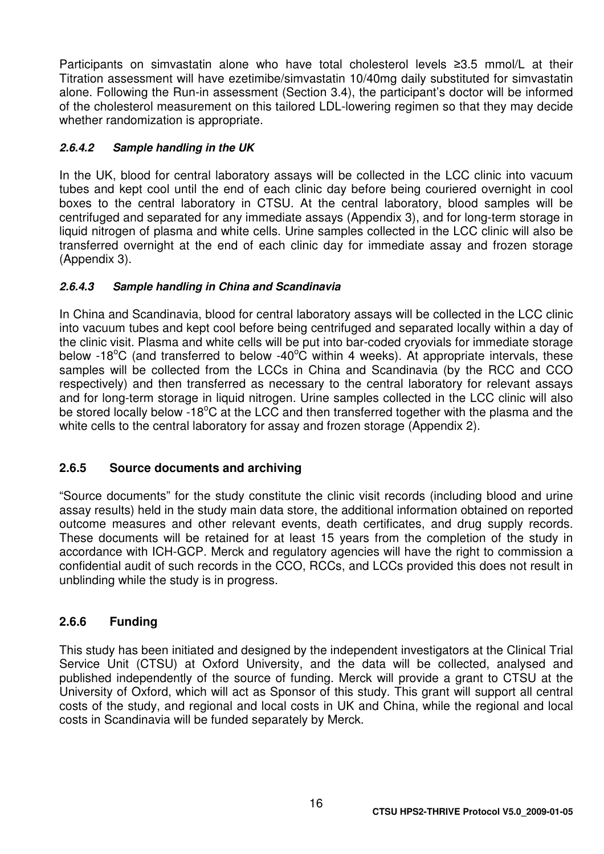Participants on simvastatin alone who have total cholesterol levels ≥3.5 mmol/L at their Titration assessment will have ezetimibe/simvastatin 10/40mg daily substituted for simvastatin alone. Following the Run-in assessment (Section 3.4), the participant's doctor will be informed of the cholesterol measurement on this tailored LDL-lowering regimen so that they may decide whether randomization is appropriate.

#### **2.6.4.2 Sample handling in the UK**

In the UK, blood for central laboratory assays will be collected in the LCC clinic into vacuum tubes and kept cool until the end of each clinic day before being couriered overnight in cool boxes to the central laboratory in CTSU. At the central laboratory, blood samples will be centrifuged and separated for any immediate assays (Appendix 3), and for long-term storage in liquid nitrogen of plasma and white cells. Urine samples collected in the LCC clinic will also be transferred overnight at the end of each clinic day for immediate assay and frozen storage (Appendix 3).

#### **2.6.4.3 Sample handling in China and Scandinavia**

In China and Scandinavia, blood for central laboratory assays will be collected in the LCC clinic into vacuum tubes and kept cool before being centrifuged and separated locally within a day of the clinic visit. Plasma and white cells will be put into bar-coded cryovials for immediate storage below -18<sup>o</sup>C (and transferred to below -40<sup>o</sup>C within 4 weeks). At appropriate intervals, these samples will be collected from the LCCs in China and Scandinavia (by the RCC and CCO respectively) and then transferred as necessary to the central laboratory for relevant assays and for long-term storage in liquid nitrogen. Urine samples collected in the LCC clinic will also be stored locally below -18 $^{\circ}$ C at the LCC and then transferred together with the plasma and the white cells to the central laboratory for assay and frozen storage (Appendix 2).

#### **2.6.5 Source documents and archiving**

"Source documents" for the study constitute the clinic visit records (including blood and urine assay results) held in the study main data store, the additional information obtained on reported outcome measures and other relevant events, death certificates, and drug supply records. These documents will be retained for at least 15 years from the completion of the study in accordance with ICH-GCP. Merck and regulatory agencies will have the right to commission a confidential audit of such records in the CCO, RCCs, and LCCs provided this does not result in unblinding while the study is in progress.

#### **2.6.6 Funding**

This study has been initiated and designed by the independent investigators at the Clinical Trial Service Unit (CTSU) at Oxford University, and the data will be collected, analysed and published independently of the source of funding. Merck will provide a grant to CTSU at the University of Oxford, which will act as Sponsor of this study. This grant will support all central costs of the study, and regional and local costs in UK and China, while the regional and local costs in Scandinavia will be funded separately by Merck.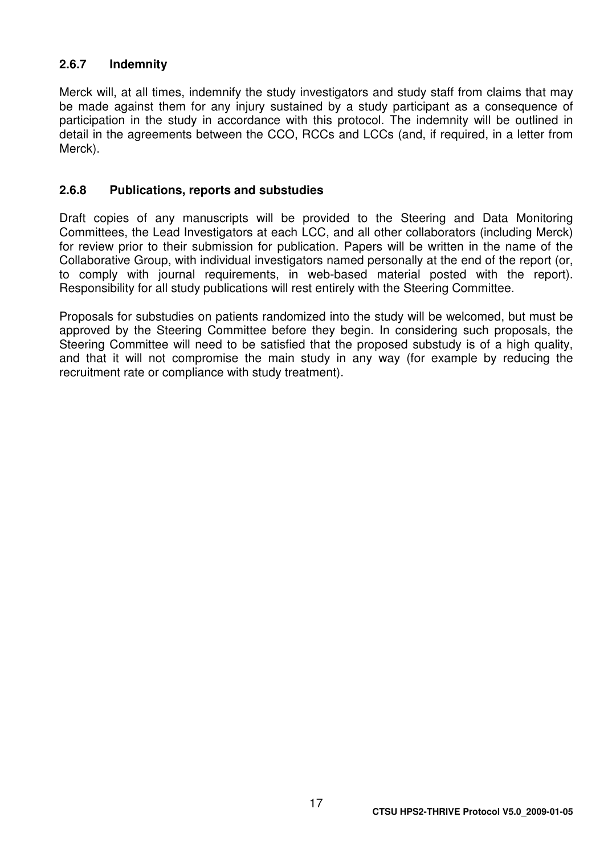#### **2.6.7 Indemnity**

Merck will, at all times, indemnify the study investigators and study staff from claims that may be made against them for any injury sustained by a study participant as a consequence of participation in the study in accordance with this protocol. The indemnity will be outlined in detail in the agreements between the CCO, RCCs and LCCs (and, if required, in a letter from Merck).

#### **2.6.8 Publications, reports and substudies**

Draft copies of any manuscripts will be provided to the Steering and Data Monitoring Committees, the Lead Investigators at each LCC, and all other collaborators (including Merck) for review prior to their submission for publication. Papers will be written in the name of the Collaborative Group, with individual investigators named personally at the end of the report (or, to comply with journal requirements, in web-based material posted with the report). Responsibility for all study publications will rest entirely with the Steering Committee.

Proposals for substudies on patients randomized into the study will be welcomed, but must be approved by the Steering Committee before they begin. In considering such proposals, the Steering Committee will need to be satisfied that the proposed substudy is of a high quality, and that it will not compromise the main study in any way (for example by reducing the recruitment rate or compliance with study treatment).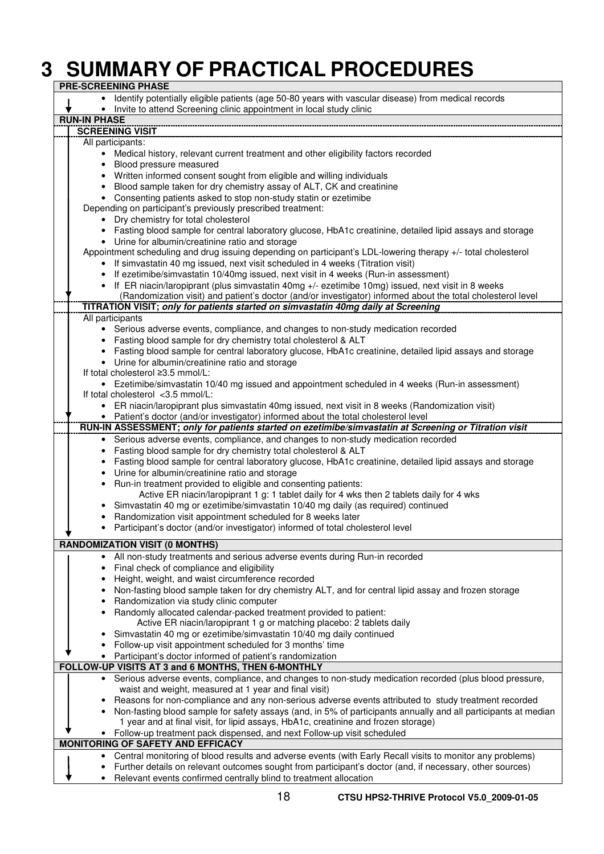# **3 SUMMARY OF PRACTICAL PROCEDURES**

| <b>PRE-SCREENING PHASE</b>                                                                          |                                                                                                                                                 |  |  |  |  |
|-----------------------------------------------------------------------------------------------------|-------------------------------------------------------------------------------------------------------------------------------------------------|--|--|--|--|
| Identify potentially eligible patients (age 50-80 years with vascular disease) from medical records |                                                                                                                                                 |  |  |  |  |
|                                                                                                     | • Invite to attend Screening clinic appointment in local study clinic                                                                           |  |  |  |  |
| <b>RUN-IN PHASE</b>                                                                                 |                                                                                                                                                 |  |  |  |  |
|                                                                                                     | <b>SCREENING VISIT</b>                                                                                                                          |  |  |  |  |
| All participants:                                                                                   |                                                                                                                                                 |  |  |  |  |
|                                                                                                     | • Medical history, relevant current treatment and other eligibility factors recorded                                                            |  |  |  |  |
| $\bullet$                                                                                           | Blood pressure measured                                                                                                                         |  |  |  |  |
|                                                                                                     | • Written informed consent sought from eligible and willing individuals                                                                         |  |  |  |  |
| $\bullet$                                                                                           | Blood sample taken for dry chemistry assay of ALT, CK and creatinine                                                                            |  |  |  |  |
|                                                                                                     | • Consenting patients asked to stop non-study statin or ezetimibe                                                                               |  |  |  |  |
|                                                                                                     | Depending on participant's previously prescribed treatment:                                                                                     |  |  |  |  |
|                                                                                                     | • Dry chemistry for total cholesterol                                                                                                           |  |  |  |  |
|                                                                                                     | • Fasting blood sample for central laboratory glucose, HbA1c creatinine, detailed lipid assays and storage                                      |  |  |  |  |
|                                                                                                     | • Urine for albumin/creatinine ratio and storage                                                                                                |  |  |  |  |
|                                                                                                     | Appointment scheduling and drug issuing depending on participant's LDL-lowering therapy +/- total cholesterol                                   |  |  |  |  |
|                                                                                                     | If simvastatin 40 mg issued, next visit scheduled in 4 weeks (Titration visit)                                                                  |  |  |  |  |
|                                                                                                     | • If ezetimibe/simvastatin 10/40mg issued, next visit in 4 weeks (Run-in assessment)                                                            |  |  |  |  |
|                                                                                                     | • If ER niacin/laropiprant (plus simvastatin 40mg +/- ezetimibe 10mg) issued, next visit in 8 weeks                                             |  |  |  |  |
|                                                                                                     | (Randomization visit) and patient's doctor (and/or investigator) informed about the total cholesterol level                                     |  |  |  |  |
|                                                                                                     | TITRATION VISIT; only for patients started on simvastatin 40mg daily at Screening                                                               |  |  |  |  |
| All participants                                                                                    |                                                                                                                                                 |  |  |  |  |
|                                                                                                     | • Serious adverse events, compliance, and changes to non-study medication recorded                                                              |  |  |  |  |
|                                                                                                     | Fasting blood sample for dry chemistry total cholesterol & ALT                                                                                  |  |  |  |  |
|                                                                                                     | Fasting blood sample for central laboratory glucose, HbA1c creatinine, detailed lipid assays and storage                                        |  |  |  |  |
|                                                                                                     | • Urine for albumin/creatinine ratio and storage                                                                                                |  |  |  |  |
|                                                                                                     | If total cholesterol ≥3.5 mmol/L:                                                                                                               |  |  |  |  |
|                                                                                                     | • Ezetimibe/simvastatin 10/40 mg issued and appointment scheduled in 4 weeks (Run-in assessment)                                                |  |  |  |  |
|                                                                                                     | If total cholesterol $<$ 3.5 mmol/L:                                                                                                            |  |  |  |  |
|                                                                                                     | • ER niacin/laropiprant plus simvastatin 40mg issued, next visit in 8 weeks (Randomization visit)                                               |  |  |  |  |
|                                                                                                     | • Patient's doctor (and/or investigator) informed about the total cholesterol level                                                             |  |  |  |  |
|                                                                                                     | RUN-IN ASSESSMENT; only for patients started on ezetimibe/simvastatin at Screening or Titration visit                                           |  |  |  |  |
|                                                                                                     | Serious adverse events, compliance, and changes to non-study medication recorded                                                                |  |  |  |  |
|                                                                                                     | Fasting blood sample for dry chemistry total cholesterol & ALT                                                                                  |  |  |  |  |
|                                                                                                     | Fasting blood sample for central laboratory glucose, HbA1c creatinine, detailed lipid assays and storage                                        |  |  |  |  |
|                                                                                                     | • Urine for albumin/creatinine ratio and storage                                                                                                |  |  |  |  |
|                                                                                                     | • Run-in treatment provided to eligible and consenting patients:                                                                                |  |  |  |  |
|                                                                                                     | Active ER niacin/laropiprant 1 g: 1 tablet daily for 4 wks then 2 tablets daily for 4 wks                                                       |  |  |  |  |
|                                                                                                     | Simvastatin 40 mg or ezetimibe/simvastatin 10/40 mg daily (as required) continued                                                               |  |  |  |  |
|                                                                                                     | Randomization visit appointment scheduled for 8 weeks later                                                                                     |  |  |  |  |
|                                                                                                     | Participant's doctor (and/or investigator) informed of total cholesterol level                                                                  |  |  |  |  |
|                                                                                                     | <b>RANDOMIZATION VISIT (0 MONTHS)</b>                                                                                                           |  |  |  |  |
|                                                                                                     |                                                                                                                                                 |  |  |  |  |
|                                                                                                     | All non-study treatments and serious adverse events during Run-in recorded                                                                      |  |  |  |  |
| ٠                                                                                                   | Final check of compliance and eligibility                                                                                                       |  |  |  |  |
|                                                                                                     | Height, weight, and waist circumference recorded                                                                                                |  |  |  |  |
|                                                                                                     | Non-fasting blood sample taken for dry chemistry ALT, and for central lipid assay and frozen storage<br>Randomization via study clinic computer |  |  |  |  |
|                                                                                                     | Randomly allocated calendar-packed treatment provided to patient:                                                                               |  |  |  |  |
|                                                                                                     | Active ER niacin/laropiprant 1 g or matching placebo: 2 tablets daily                                                                           |  |  |  |  |
|                                                                                                     | Simvastatin 40 mg or ezetimibe/simvastatin 10/40 mg daily continued                                                                             |  |  |  |  |
|                                                                                                     | Follow-up visit appointment scheduled for 3 months' time                                                                                        |  |  |  |  |
|                                                                                                     | • Participant's doctor informed of patient's randomization                                                                                      |  |  |  |  |
|                                                                                                     | FOLLOW-UP VISITS AT 3 and 6 MONTHS, THEN 6-MONTHLY                                                                                              |  |  |  |  |
|                                                                                                     | • Serious adverse events, compliance, and changes to non-study medication recorded (plus blood pressure,                                        |  |  |  |  |
|                                                                                                     | waist and weight, measured at 1 year and final visit)                                                                                           |  |  |  |  |
|                                                                                                     | Reasons for non-compliance and any non-serious adverse events attributed to study treatment recorded                                            |  |  |  |  |
|                                                                                                     | Non-fasting blood sample for safety assays (and, in 5% of participants annually and all participants at median                                  |  |  |  |  |
|                                                                                                     | 1 year and at final visit, for lipid assays, HbA1c, creatinine and frozen storage)                                                              |  |  |  |  |
|                                                                                                     | • Follow-up treatment pack dispensed, and next Follow-up visit scheduled                                                                        |  |  |  |  |
|                                                                                                     | <b>MONITORING OF SAFETY AND EFFICACY</b>                                                                                                        |  |  |  |  |
|                                                                                                     | Central monitoring of blood results and adverse events (with Early Recall visits to monitor any problems)                                       |  |  |  |  |
|                                                                                                     | Further details on relevant outcomes sought from participant's doctor (and, if necessary, other sources)                                        |  |  |  |  |
| $\bullet$                                                                                           | Relevant events confirmed centrally blind to treatment allocation                                                                               |  |  |  |  |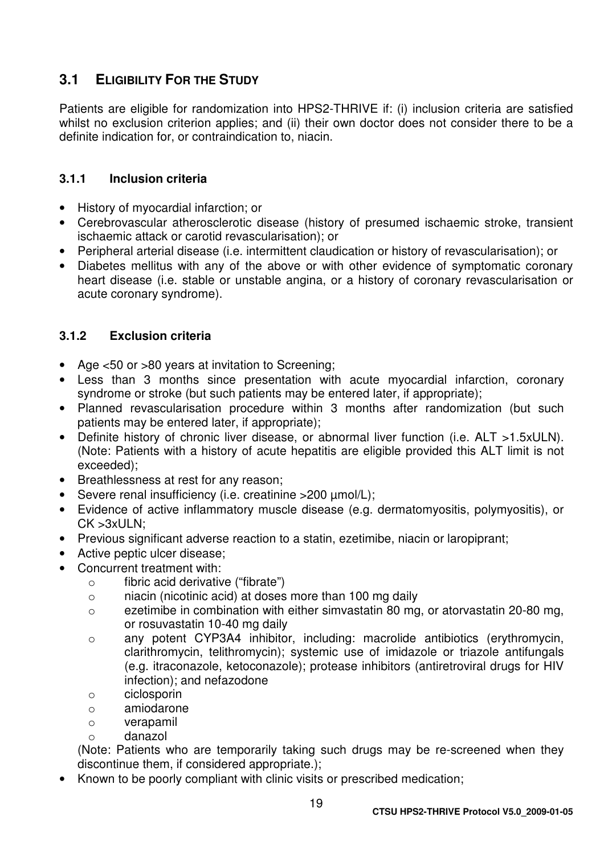## **3.1 ELIGIBILITY FOR THE STUDY**

Patients are eligible for randomization into HPS2-THRIVE if: (i) inclusion criteria are satisfied whilst no exclusion criterion applies; and (ii) their own doctor does not consider there to be a definite indication for, or contraindication to, niacin.

#### **3.1.1 Inclusion criteria**

- History of myocardial infarction; or
- Cerebrovascular atherosclerotic disease (history of presumed ischaemic stroke, transient ischaemic attack or carotid revascularisation); or
- Peripheral arterial disease (i.e. intermittent claudication or history of revascularisation); or
- Diabetes mellitus with any of the above or with other evidence of symptomatic coronary heart disease (i.e. stable or unstable angina, or a history of coronary revascularisation or acute coronary syndrome).

#### **3.1.2 Exclusion criteria**

- Age <50 or >80 years at invitation to Screening;
- Less than 3 months since presentation with acute myocardial infarction, coronary syndrome or stroke (but such patients may be entered later, if appropriate);
- Planned revascularisation procedure within 3 months after randomization (but such patients may be entered later, if appropriate);
- Definite history of chronic liver disease, or abnormal liver function (i.e. ALT >1.5xULN). (Note: Patients with a history of acute hepatitis are eligible provided this ALT limit is not exceeded);
- Breathlessness at rest for any reason;
- Severe renal insufficiency (i.e. creatinine >200 umol/L);
- Evidence of active inflammatory muscle disease (e.g. dermatomyositis, polymyositis), or CK >3xULN;
- Previous significant adverse reaction to a statin, ezetimibe, niacin or laropiprant;
- Active peptic ulcer disease;
- Concurrent treatment with:
	- o fibric acid derivative ("fibrate")
	- o niacin (nicotinic acid) at doses more than 100 mg daily
	- o ezetimibe in combination with either simvastatin 80 mg, or atorvastatin 20-80 mg, or rosuvastatin 10-40 mg daily
	- o any potent CYP3A4 inhibitor, including: macrolide antibiotics (erythromycin, clarithromycin, telithromycin); systemic use of imidazole or triazole antifungals (e.g. itraconazole, ketoconazole); protease inhibitors (antiretroviral drugs for HIV infection); and nefazodone
	- o ciclosporin
	- o amiodarone
	- o verapamil
	- o danazol

(Note: Patients who are temporarily taking such drugs may be re-screened when they discontinue them, if considered appropriate.);

• Known to be poorly compliant with clinic visits or prescribed medication;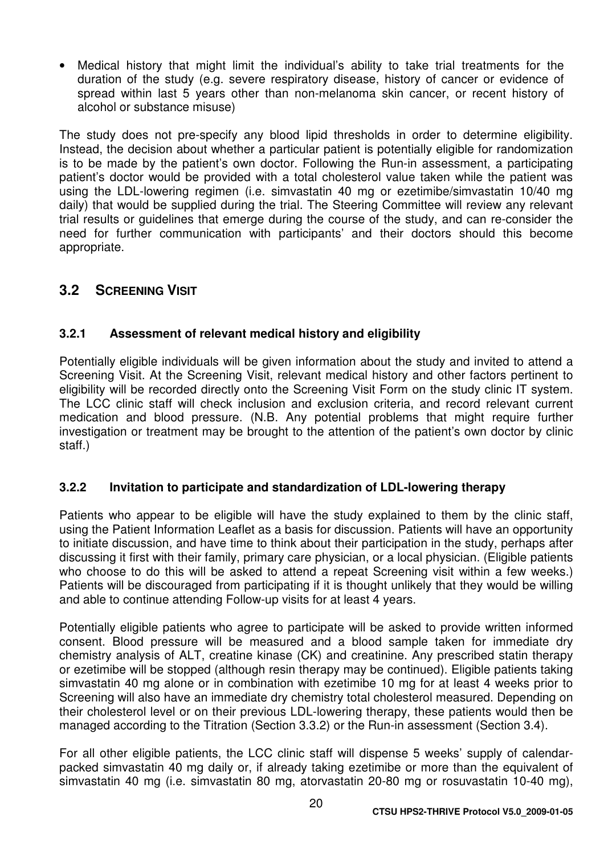• Medical history that might limit the individual's ability to take trial treatments for the duration of the study (e.g. severe respiratory disease, history of cancer or evidence of spread within last 5 years other than non-melanoma skin cancer, or recent history of alcohol or substance misuse)

The study does not pre-specify any blood lipid thresholds in order to determine eligibility. Instead, the decision about whether a particular patient is potentially eligible for randomization is to be made by the patient's own doctor. Following the Run-in assessment, a participating patient's doctor would be provided with a total cholesterol value taken while the patient was using the LDL-lowering regimen (i.e. simvastatin 40 mg or ezetimibe/simvastatin 10/40 mg daily) that would be supplied during the trial. The Steering Committee will review any relevant trial results or guidelines that emerge during the course of the study, and can re-consider the need for further communication with participants' and their doctors should this become appropriate.

## **3.2 SCREENING VISIT**

### **3.2.1 Assessment of relevant medical history and eligibility**

Potentially eligible individuals will be given information about the study and invited to attend a Screening Visit. At the Screening Visit, relevant medical history and other factors pertinent to eligibility will be recorded directly onto the Screening Visit Form on the study clinic IT system. The LCC clinic staff will check inclusion and exclusion criteria, and record relevant current medication and blood pressure. (N.B. Any potential problems that might require further investigation or treatment may be brought to the attention of the patient's own doctor by clinic staff.)

#### **3.2.2 Invitation to participate and standardization of LDL-lowering therapy**

Patients who appear to be eligible will have the study explained to them by the clinic staff, using the Patient Information Leaflet as a basis for discussion. Patients will have an opportunity to initiate discussion, and have time to think about their participation in the study, perhaps after discussing it first with their family, primary care physician, or a local physician. (Eligible patients who choose to do this will be asked to attend a repeat Screening visit within a few weeks.) Patients will be discouraged from participating if it is thought unlikely that they would be willing and able to continue attending Follow-up visits for at least 4 years.

Potentially eligible patients who agree to participate will be asked to provide written informed consent. Blood pressure will be measured and a blood sample taken for immediate dry chemistry analysis of ALT, creatine kinase (CK) and creatinine. Any prescribed statin therapy or ezetimibe will be stopped (although resin therapy may be continued). Eligible patients taking simvastatin 40 mg alone or in combination with ezetimibe 10 mg for at least 4 weeks prior to Screening will also have an immediate dry chemistry total cholesterol measured. Depending on their cholesterol level or on their previous LDL-lowering therapy, these patients would then be managed according to the Titration (Section 3.3.2) or the Run-in assessment (Section 3.4).

For all other eligible patients, the LCC clinic staff will dispense 5 weeks' supply of calendarpacked simvastatin 40 mg daily or, if already taking ezetimibe or more than the equivalent of simvastatin 40 mg (i.e. simvastatin 80 mg, atorvastatin 20-80 mg or rosuvastatin 10-40 mg),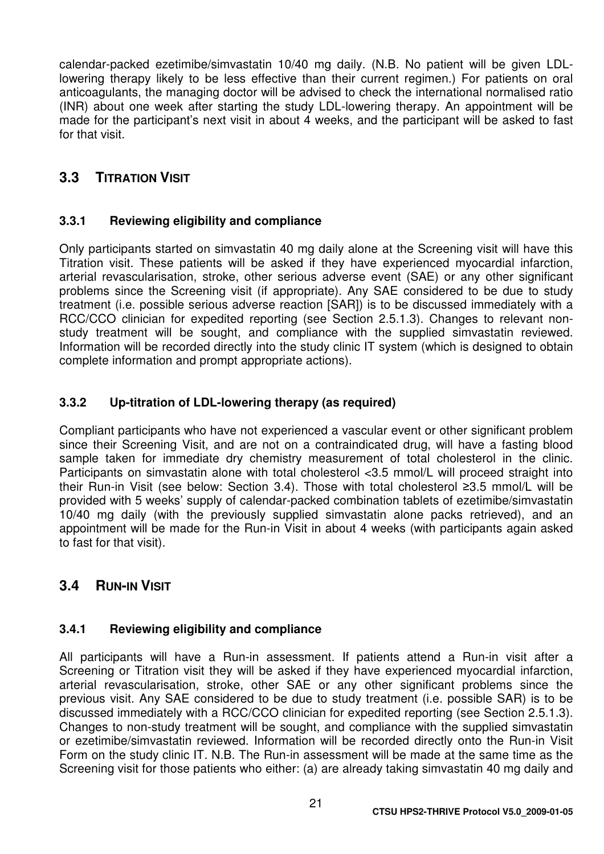calendar-packed ezetimibe/simvastatin 10/40 mg daily. (N.B. No patient will be given LDLlowering therapy likely to be less effective than their current regimen.) For patients on oral anticoagulants, the managing doctor will be advised to check the international normalised ratio (INR) about one week after starting the study LDL-lowering therapy. An appointment will be made for the participant's next visit in about 4 weeks, and the participant will be asked to fast for that visit.

## **3.3 TITRATION VISIT**

#### **3.3.1 Reviewing eligibility and compliance**

Only participants started on simvastatin 40 mg daily alone at the Screening visit will have this Titration visit. These patients will be asked if they have experienced myocardial infarction, arterial revascularisation, stroke, other serious adverse event (SAE) or any other significant problems since the Screening visit (if appropriate). Any SAE considered to be due to study treatment (i.e. possible serious adverse reaction [SAR]) is to be discussed immediately with a RCC/CCO clinician for expedited reporting (see Section 2.5.1.3). Changes to relevant nonstudy treatment will be sought, and compliance with the supplied simvastatin reviewed. Information will be recorded directly into the study clinic IT system (which is designed to obtain complete information and prompt appropriate actions).

#### **3.3.2 Up-titration of LDL-lowering therapy (as required)**

Compliant participants who have not experienced a vascular event or other significant problem since their Screening Visit, and are not on a contraindicated drug, will have a fasting blood sample taken for immediate dry chemistry measurement of total cholesterol in the clinic. Participants on simvastatin alone with total cholesterol <3.5 mmol/L will proceed straight into their Run-in Visit (see below: Section 3.4). Those with total cholesterol ≥3.5 mmol/L will be provided with 5 weeks' supply of calendar-packed combination tablets of ezetimibe/simvastatin 10/40 mg daily (with the previously supplied simvastatin alone packs retrieved), and an appointment will be made for the Run-in Visit in about 4 weeks (with participants again asked to fast for that visit).

## **3.4 RUN-IN VISIT**

#### **3.4.1 Reviewing eligibility and compliance**

All participants will have a Run-in assessment. If patients attend a Run-in visit after a Screening or Titration visit they will be asked if they have experienced myocardial infarction, arterial revascularisation, stroke, other SAE or any other significant problems since the previous visit. Any SAE considered to be due to study treatment (i.e. possible SAR) is to be discussed immediately with a RCC/CCO clinician for expedited reporting (see Section 2.5.1.3). Changes to non-study treatment will be sought, and compliance with the supplied simvastatin or ezetimibe/simvastatin reviewed. Information will be recorded directly onto the Run-in Visit Form on the study clinic IT. N.B. The Run-in assessment will be made at the same time as the Screening visit for those patients who either: (a) are already taking simvastatin 40 mg daily and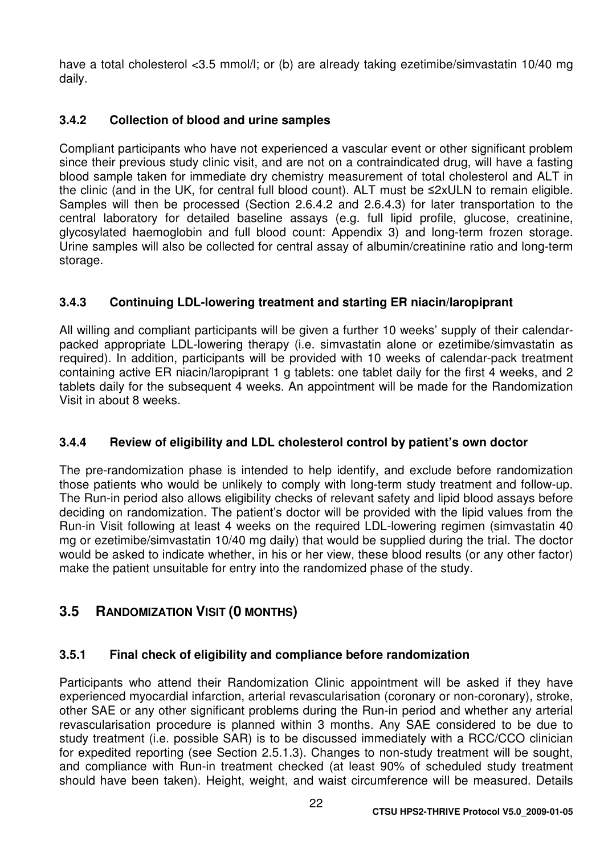have a total cholesterol <3.5 mmol/l; or (b) are already taking ezetimibe/simvastatin 10/40 mg daily.

### **3.4.2 Collection of blood and urine samples**

Compliant participants who have not experienced a vascular event or other significant problem since their previous study clinic visit, and are not on a contraindicated drug, will have a fasting blood sample taken for immediate dry chemistry measurement of total cholesterol and ALT in the clinic (and in the UK, for central full blood count). ALT must be ≤2xULN to remain eligible. Samples will then be processed (Section 2.6.4.2 and 2.6.4.3) for later transportation to the central laboratory for detailed baseline assays (e.g. full lipid profile, glucose, creatinine, glycosylated haemoglobin and full blood count: Appendix 3) and long-term frozen storage. Urine samples will also be collected for central assay of albumin/creatinine ratio and long-term storage.

### **3.4.3 Continuing LDL-lowering treatment and starting ER niacin/laropiprant**

All willing and compliant participants will be given a further 10 weeks' supply of their calendarpacked appropriate LDL-lowering therapy (i.e. simvastatin alone or ezetimibe/simvastatin as required). In addition, participants will be provided with 10 weeks of calendar-pack treatment containing active ER niacin/laropiprant 1 g tablets: one tablet daily for the first 4 weeks, and 2 tablets daily for the subsequent 4 weeks. An appointment will be made for the Randomization Visit in about 8 weeks.

#### **3.4.4 Review of eligibility and LDL cholesterol control by patient's own doctor**

The pre-randomization phase is intended to help identify, and exclude before randomization those patients who would be unlikely to comply with long-term study treatment and follow-up. The Run-in period also allows eligibility checks of relevant safety and lipid blood assays before deciding on randomization. The patient's doctor will be provided with the lipid values from the Run-in Visit following at least 4 weeks on the required LDL-lowering regimen (simvastatin 40 mg or ezetimibe/simvastatin 10/40 mg daily) that would be supplied during the trial. The doctor would be asked to indicate whether, in his or her view, these blood results (or any other factor) make the patient unsuitable for entry into the randomized phase of the study.

## **3.5 RANDOMIZATION VISIT (0 MONTHS)**

#### **3.5.1 Final check of eligibility and compliance before randomization**

Participants who attend their Randomization Clinic appointment will be asked if they have experienced myocardial infarction, arterial revascularisation (coronary or non-coronary), stroke, other SAE or any other significant problems during the Run-in period and whether any arterial revascularisation procedure is planned within 3 months. Any SAE considered to be due to study treatment (i.e. possible SAR) is to be discussed immediately with a RCC/CCO clinician for expedited reporting (see Section 2.5.1.3). Changes to non-study treatment will be sought, and compliance with Run-in treatment checked (at least 90% of scheduled study treatment should have been taken). Height, weight, and waist circumference will be measured. Details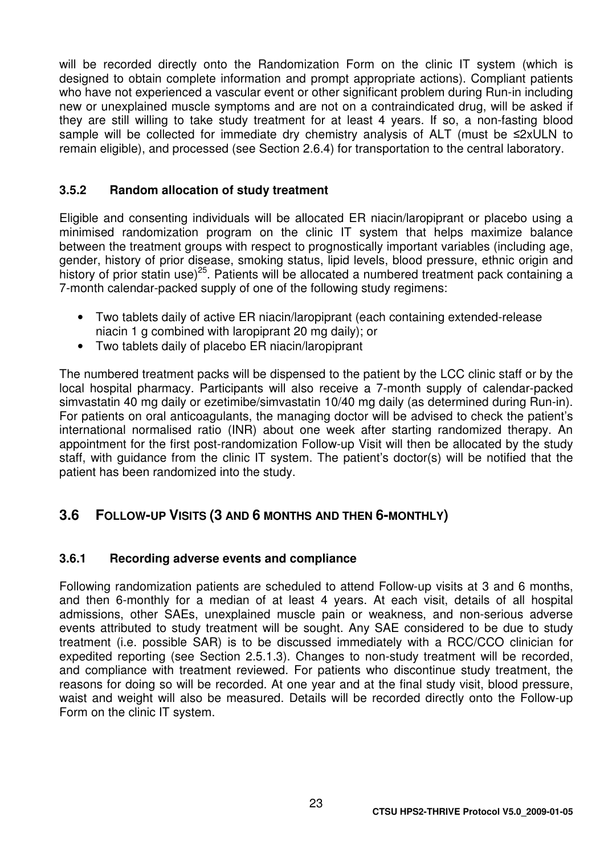will be recorded directly onto the Randomization Form on the clinic IT system (which is designed to obtain complete information and prompt appropriate actions). Compliant patients who have not experienced a vascular event or other significant problem during Run-in including new or unexplained muscle symptoms and are not on a contraindicated drug, will be asked if they are still willing to take study treatment for at least 4 years. If so, a non-fasting blood sample will be collected for immediate dry chemistry analysis of ALT (must be ≤2xULN to remain eligible), and processed (see Section 2.6.4) for transportation to the central laboratory.

#### **3.5.2 Random allocation of study treatment**

Eligible and consenting individuals will be allocated ER niacin/laropiprant or placebo using a minimised randomization program on the clinic IT system that helps maximize balance between the treatment groups with respect to prognostically important variables (including age, gender, history of prior disease, smoking status, lipid levels, blood pressure, ethnic origin and history of prior statin use)<sup>25</sup>. Patients will be allocated a numbered treatment pack containing a 7-month calendar-packed supply of one of the following study regimens:

- Two tablets daily of active ER niacin/laropiprant (each containing extended-release niacin 1 g combined with laropiprant 20 mg daily); or
- Two tablets daily of placebo ER niacin/laropiprant

The numbered treatment packs will be dispensed to the patient by the LCC clinic staff or by the local hospital pharmacy. Participants will also receive a 7-month supply of calendar-packed simvastatin 40 mg daily or ezetimibe/simvastatin 10/40 mg daily (as determined during Run-in). For patients on oral anticoagulants, the managing doctor will be advised to check the patient's international normalised ratio (INR) about one week after starting randomized therapy. An appointment for the first post-randomization Follow-up Visit will then be allocated by the study staff, with guidance from the clinic IT system. The patient's doctor(s) will be notified that the patient has been randomized into the study.

## **3.6 FOLLOW-UP VISITS (3 AND 6 MONTHS AND THEN 6-MONTHLY)**

#### **3.6.1 Recording adverse events and compliance**

Following randomization patients are scheduled to attend Follow-up visits at 3 and 6 months, and then 6-monthly for a median of at least 4 years. At each visit, details of all hospital admissions, other SAEs, unexplained muscle pain or weakness, and non-serious adverse events attributed to study treatment will be sought. Any SAE considered to be due to study treatment (i.e. possible SAR) is to be discussed immediately with a RCC/CCO clinician for expedited reporting (see Section 2.5.1.3). Changes to non-study treatment will be recorded, and compliance with treatment reviewed. For patients who discontinue study treatment, the reasons for doing so will be recorded. At one year and at the final study visit, blood pressure, waist and weight will also be measured. Details will be recorded directly onto the Follow-up Form on the clinic IT system.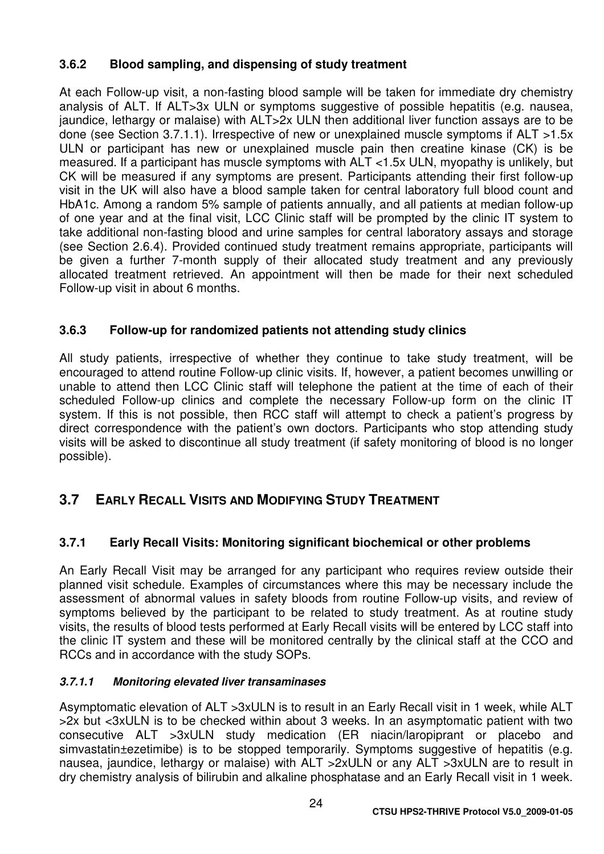## **3.6.2 Blood sampling, and dispensing of study treatment**

At each Follow-up visit, a non-fasting blood sample will be taken for immediate dry chemistry analysis of ALT. If ALT>3x ULN or symptoms suggestive of possible hepatitis (e.g. nausea, jaundice, lethargy or malaise) with ALT>2x ULN then additional liver function assays are to be done (see Section 3.7.1.1). Irrespective of new or unexplained muscle symptoms if ALT >1.5x ULN or participant has new or unexplained muscle pain then creatine kinase (CK) is be measured. If a participant has muscle symptoms with ALT <1.5x ULN, myopathy is unlikely, but CK will be measured if any symptoms are present. Participants attending their first follow-up visit in the UK will also have a blood sample taken for central laboratory full blood count and HbA1c. Among a random 5% sample of patients annually, and all patients at median follow-up of one year and at the final visit, LCC Clinic staff will be prompted by the clinic IT system to take additional non-fasting blood and urine samples for central laboratory assays and storage (see Section 2.6.4). Provided continued study treatment remains appropriate, participants will be given a further 7-month supply of their allocated study treatment and any previously allocated treatment retrieved. An appointment will then be made for their next scheduled Follow-up visit in about 6 months.

### **3.6.3 Follow-up for randomized patients not attending study clinics**

All study patients, irrespective of whether they continue to take study treatment, will be encouraged to attend routine Follow-up clinic visits. If, however, a patient becomes unwilling or unable to attend then LCC Clinic staff will telephone the patient at the time of each of their scheduled Follow-up clinics and complete the necessary Follow-up form on the clinic IT system. If this is not possible, then RCC staff will attempt to check a patient's progress by direct correspondence with the patient's own doctors. Participants who stop attending study visits will be asked to discontinue all study treatment (if safety monitoring of blood is no longer possible).

## **3.7 EARLY RECALL VISITS AND MODIFYING STUDY TREATMENT**

## **3.7.1 Early Recall Visits: Monitoring significant biochemical or other problems**

An Early Recall Visit may be arranged for any participant who requires review outside their planned visit schedule. Examples of circumstances where this may be necessary include the assessment of abnormal values in safety bloods from routine Follow-up visits, and review of symptoms believed by the participant to be related to study treatment. As at routine study visits, the results of blood tests performed at Early Recall visits will be entered by LCC staff into the clinic IT system and these will be monitored centrally by the clinical staff at the CCO and RCCs and in accordance with the study SOPs.

#### **3.7.1.1 Monitoring elevated liver transaminases**

Asymptomatic elevation of ALT >3xULN is to result in an Early Recall visit in 1 week, while ALT >2x but <3xULN is to be checked within about 3 weeks. In an asymptomatic patient with two consecutive ALT >3xULN study medication (ER niacin/laropiprant or placebo and simvastatin±ezetimibe) is to be stopped temporarily. Symptoms suggestive of hepatitis (e.g. nausea, jaundice, lethargy or malaise) with ALT >2xULN or any ALT >3xULN are to result in dry chemistry analysis of bilirubin and alkaline phosphatase and an Early Recall visit in 1 week.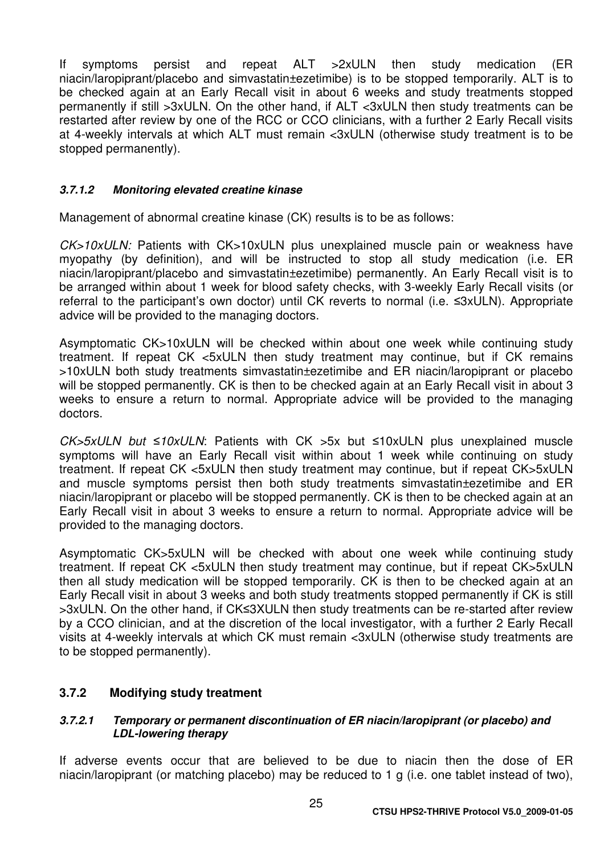If symptoms persist and repeat ALT >2xULN then study medication (ER niacin/laropiprant/placebo and simvastatin±ezetimibe) is to be stopped temporarily. ALT is to be checked again at an Early Recall visit in about 6 weeks and study treatments stopped permanently if still >3xULN. On the other hand, if ALT <3xULN then study treatments can be restarted after review by one of the RCC or CCO clinicians, with a further 2 Early Recall visits at 4-weekly intervals at which ALT must remain <3xULN (otherwise study treatment is to be stopped permanently).

#### **3.7.1.2 Monitoring elevated creatine kinase**

Management of abnormal creatine kinase (CK) results is to be as follows:

CK>10xULN: Patients with CK>10xULN plus unexplained muscle pain or weakness have myopathy (by definition), and will be instructed to stop all study medication (i.e. ER niacin/laropiprant/placebo and simvastatin±ezetimibe) permanently. An Early Recall visit is to be arranged within about 1 week for blood safety checks, with 3-weekly Early Recall visits (or referral to the participant's own doctor) until CK reverts to normal (i.e. ≤3xULN). Appropriate advice will be provided to the managing doctors.

Asymptomatic CK>10xULN will be checked within about one week while continuing study treatment. If repeat CK <5xULN then study treatment may continue, but if CK remains >10xULN both study treatments simvastatin±ezetimibe and ER niacin/laropiprant or placebo will be stopped permanently. CK is then to be checked again at an Early Recall visit in about 3 weeks to ensure a return to normal. Appropriate advice will be provided to the managing doctors.

CK>5xULN but ≤10xULN: Patients with CK >5x but ≤10xULN plus unexplained muscle symptoms will have an Early Recall visit within about 1 week while continuing on study treatment. If repeat CK <5xULN then study treatment may continue, but if repeat CK>5xULN and muscle symptoms persist then both study treatments simvastatin±ezetimibe and ER niacin/laropiprant or placebo will be stopped permanently. CK is then to be checked again at an Early Recall visit in about 3 weeks to ensure a return to normal. Appropriate advice will be provided to the managing doctors.

Asymptomatic CK>5xULN will be checked with about one week while continuing study treatment. If repeat CK <5xULN then study treatment may continue, but if repeat CK>5xULN then all study medication will be stopped temporarily. CK is then to be checked again at an Early Recall visit in about 3 weeks and both study treatments stopped permanently if CK is still >3xULN. On the other hand, if CK≤3XULN then study treatments can be re-started after review by a CCO clinician, and at the discretion of the local investigator, with a further 2 Early Recall visits at 4-weekly intervals at which CK must remain <3xULN (otherwise study treatments are to be stopped permanently).

#### **3.7.2 Modifying study treatment**

#### **3.7.2.1 Temporary or permanent discontinuation of ER niacin/laropiprant (or placebo) and LDL-lowering therapy**

If adverse events occur that are believed to be due to niacin then the dose of ER niacin/laropiprant (or matching placebo) may be reduced to 1 g (i.e. one tablet instead of two),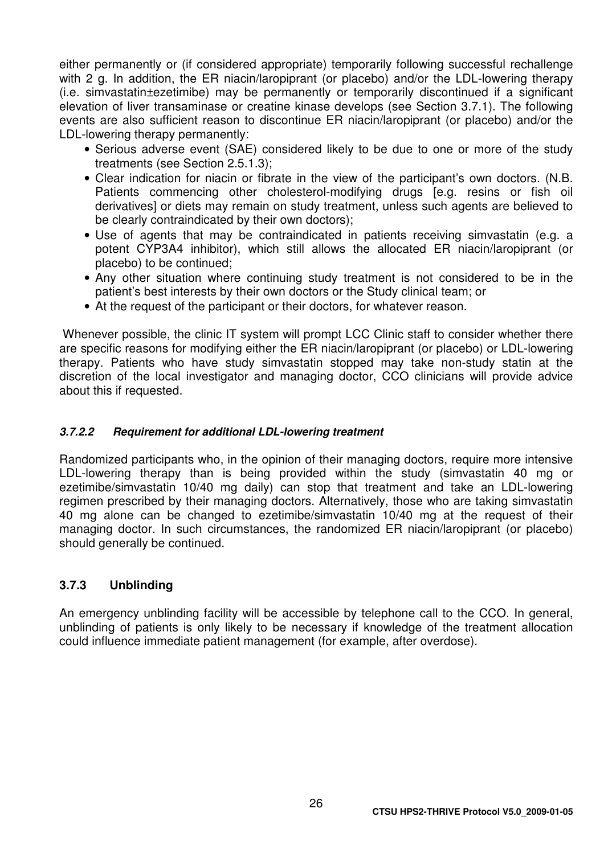either permanently or (if considered appropriate) temporarily following successful rechallenge with 2 g. In addition, the ER niacin/laropiprant (or placebo) and/or the LDL-lowering therapy (i.e. simvastatin±ezetimibe) may be permanently or temporarily discontinued if a significant elevation of liver transaminase or creatine kinase develops (see Section 3.7.1). The following events are also sufficient reason to discontinue ER niacin/laropiprant (or placebo) and/or the LDL-lowering therapy permanently:

- Serious adverse event (SAE) considered likely to be due to one or more of the study treatments (see Section 2.5.1.3);
- Clear indication for niacin or fibrate in the view of the participant's own doctors. (N.B. Patients commencing other cholesterol-modifying drugs [e.g. resins or fish oil derivatives] or diets may remain on study treatment, unless such agents are believed to be clearly contraindicated by their own doctors);
- Use of agents that may be contraindicated in patients receiving simvastatin (e.g. a potent CYP3A4 inhibitor), which still allows the allocated ER niacin/laropiprant (or placebo) to be continued;
- Any other situation where continuing study treatment is not considered to be in the patient's best interests by their own doctors or the Study clinical team; or
- At the request of the participant or their doctors, for whatever reason.

Whenever possible, the clinic IT system will prompt LCC Clinic staff to consider whether there are specific reasons for modifying either the ER niacin/laropiprant (or placebo) or LDL-lowering therapy. Patients who have study simvastatin stopped may take non-study statin at the discretion of the local investigator and managing doctor, CCO clinicians will provide advice about this if requested.

#### **3.7.2.2 Requirement for additional LDL-lowering treatment**

Randomized participants who, in the opinion of their managing doctors, require more intensive LDL-lowering therapy than is being provided within the study (simvastatin 40 mg or ezetimibe/simvastatin 10/40 mg daily) can stop that treatment and take an LDL-lowering regimen prescribed by their managing doctors. Alternatively, those who are taking simvastatin 40 mg alone can be changed to ezetimibe/simvastatin 10/40 mg at the request of their managing doctor. In such circumstances, the randomized ER niacin/laropiprant (or placebo) should generally be continued.

#### **3.7.3 Unblinding**

An emergency unblinding facility will be accessible by telephone call to the CCO. In general, unblinding of patients is only likely to be necessary if knowledge of the treatment allocation could influence immediate patient management (for example, after overdose).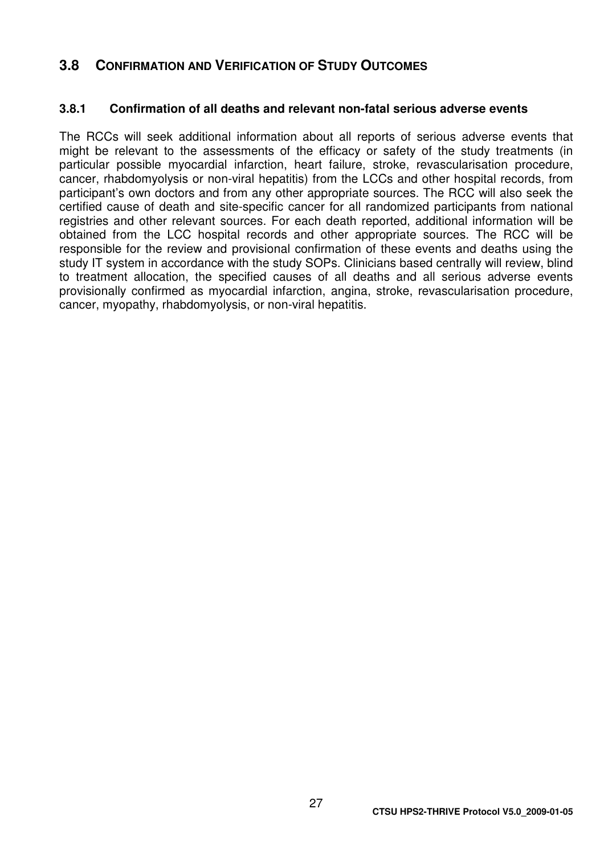## **3.8 CONFIRMATION AND VERIFICATION OF STUDY OUTCOMES**

#### **3.8.1 Confirmation of all deaths and relevant non-fatal serious adverse events**

The RCCs will seek additional information about all reports of serious adverse events that might be relevant to the assessments of the efficacy or safety of the study treatments (in particular possible myocardial infarction, heart failure, stroke, revascularisation procedure, cancer, rhabdomyolysis or non-viral hepatitis) from the LCCs and other hospital records, from participant's own doctors and from any other appropriate sources. The RCC will also seek the certified cause of death and site-specific cancer for all randomized participants from national registries and other relevant sources. For each death reported, additional information will be obtained from the LCC hospital records and other appropriate sources. The RCC will be responsible for the review and provisional confirmation of these events and deaths using the study IT system in accordance with the study SOPs. Clinicians based centrally will review, blind to treatment allocation, the specified causes of all deaths and all serious adverse events provisionally confirmed as myocardial infarction, angina, stroke, revascularisation procedure, cancer, myopathy, rhabdomyolysis, or non-viral hepatitis.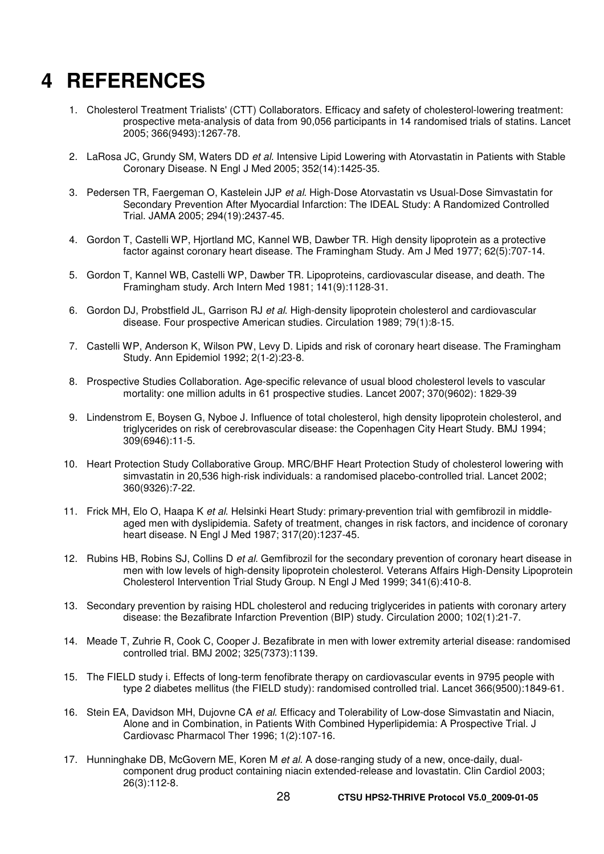## **4 REFERENCES**

- 1. Cholesterol Treatment Trialists' (CTT) Collaborators. Efficacy and safety of cholesterol-lowering treatment: prospective meta-analysis of data from 90,056 participants in 14 randomised trials of statins. Lancet 2005; 366(9493):1267-78.
- 2. LaRosa JC, Grundy SM, Waters DD et al. Intensive Lipid Lowering with Atorvastatin in Patients with Stable Coronary Disease. N Engl J Med 2005; 352(14):1425-35.
- 3. Pedersen TR, Faergeman O, Kastelein JJP et al. High-Dose Atorvastatin vs Usual-Dose Simvastatin for Secondary Prevention After Myocardial Infarction: The IDEAL Study: A Randomized Controlled Trial. JAMA 2005; 294(19):2437-45.
- 4. Gordon T, Castelli WP, Hjortland MC, Kannel WB, Dawber TR. High density lipoprotein as a protective factor against coronary heart disease. The Framingham Study. Am J Med 1977; 62(5):707-14.
- 5. Gordon T, Kannel WB, Castelli WP, Dawber TR. Lipoproteins, cardiovascular disease, and death. The Framingham study. Arch Intern Med 1981; 141(9):1128-31.
- 6. Gordon DJ, Probstfield JL, Garrison RJ et al. High-density lipoprotein cholesterol and cardiovascular disease. Four prospective American studies. Circulation 1989; 79(1):8-15.
- 7. Castelli WP, Anderson K, Wilson PW, Levy D. Lipids and risk of coronary heart disease. The Framingham Study. Ann Epidemiol 1992; 2(1-2):23-8.
- 8. Prospective Studies Collaboration. Age-specific relevance of usual blood cholesterol levels to vascular mortality: one million adults in 61 prospective studies. Lancet 2007; 370(9602): 1829-39
- 9. Lindenstrom E, Boysen G, Nyboe J. Influence of total cholesterol, high density lipoprotein cholesterol, and triglycerides on risk of cerebrovascular disease: the Copenhagen City Heart Study. BMJ 1994; 309(6946):11-5.
- 10. Heart Protection Study Collaborative Group. MRC/BHF Heart Protection Study of cholesterol lowering with simvastatin in 20,536 high-risk individuals: a randomised placebo-controlled trial. Lancet 2002; 360(9326):7-22.
- 11. Frick MH, Elo O, Haapa K et al. Helsinki Heart Study: primary-prevention trial with gemfibrozil in middleaged men with dyslipidemia. Safety of treatment, changes in risk factors, and incidence of coronary heart disease. N Engl J Med 1987; 317(20):1237-45.
- 12. Rubins HB, Robins SJ, Collins D et al. Gemfibrozil for the secondary prevention of coronary heart disease in men with low levels of high-density lipoprotein cholesterol. Veterans Affairs High-Density Lipoprotein Cholesterol Intervention Trial Study Group. N Engl J Med 1999; 341(6):410-8.
- 13. Secondary prevention by raising HDL cholesterol and reducing triglycerides in patients with coronary artery disease: the Bezafibrate Infarction Prevention (BIP) study. Circulation 2000; 102(1):21-7.
- 14. Meade T, Zuhrie R, Cook C, Cooper J. Bezafibrate in men with lower extremity arterial disease: randomised controlled trial. BMJ 2002; 325(7373):1139.
- 15. The FIELD study i. Effects of long-term fenofibrate therapy on cardiovascular events in 9795 people with type 2 diabetes mellitus (the FIELD study): randomised controlled trial. Lancet 366(9500):1849-61.
- 16. Stein EA, Davidson MH, Dujovne CA et al. Efficacy and Tolerability of Low-dose Simvastatin and Niacin, Alone and in Combination, in Patients With Combined Hyperlipidemia: A Prospective Trial. J Cardiovasc Pharmacol Ther 1996; 1(2):107-16.
- 17. Hunninghake DB, McGovern ME, Koren M et al. A dose-ranging study of a new, once-daily, dualcomponent drug product containing niacin extended-release and lovastatin. Clin Cardiol 2003; 26(3):112-8.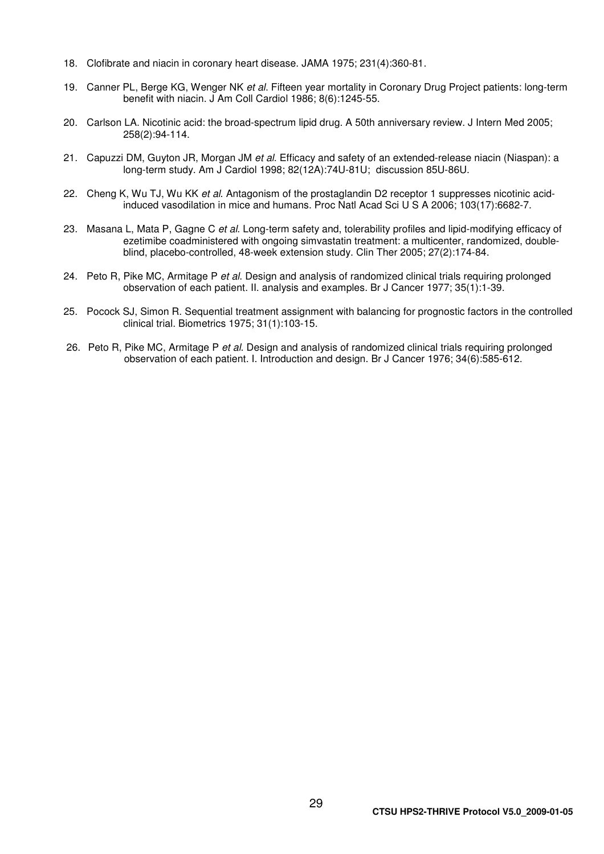- 18. Clofibrate and niacin in coronary heart disease. JAMA 1975; 231(4):360-81.
- 19. Canner PL, Berge KG, Wenger NK et al. Fifteen year mortality in Coronary Drug Project patients: long-term benefit with niacin. J Am Coll Cardiol 1986; 8(6):1245-55.
- 20. Carlson LA. Nicotinic acid: the broad-spectrum lipid drug. A 50th anniversary review. J Intern Med 2005; 258(2):94-114.
- 21. Capuzzi DM, Guyton JR, Morgan JM et al. Efficacy and safety of an extended-release niacin (Niaspan): a long-term study. Am J Cardiol 1998; 82(12A):74U-81U; discussion 85U-86U.
- 22. Cheng K, Wu TJ, Wu KK et al. Antagonism of the prostaglandin D2 receptor 1 suppresses nicotinic acidinduced vasodilation in mice and humans. Proc Natl Acad Sci U S A 2006; 103(17):6682-7.
- 23. Masana L, Mata P, Gagne C et al. Long-term safety and, tolerability profiles and lipid-modifying efficacy of ezetimibe coadministered with ongoing simvastatin treatment: a multicenter, randomized, doubleblind, placebo-controlled, 48-week extension study. Clin Ther 2005; 27(2):174-84.
- 24. Peto R, Pike MC, Armitage P et al. Design and analysis of randomized clinical trials requiring prolonged observation of each patient. II. analysis and examples. Br J Cancer 1977; 35(1):1-39.
- 25. Pocock SJ, Simon R. Sequential treatment assignment with balancing for prognostic factors in the controlled clinical trial. Biometrics 1975; 31(1):103-15.
- 26. Peto R, Pike MC, Armitage P et al. Design and analysis of randomized clinical trials requiring prolonged observation of each patient. I. Introduction and design. Br J Cancer 1976; 34(6):585-612.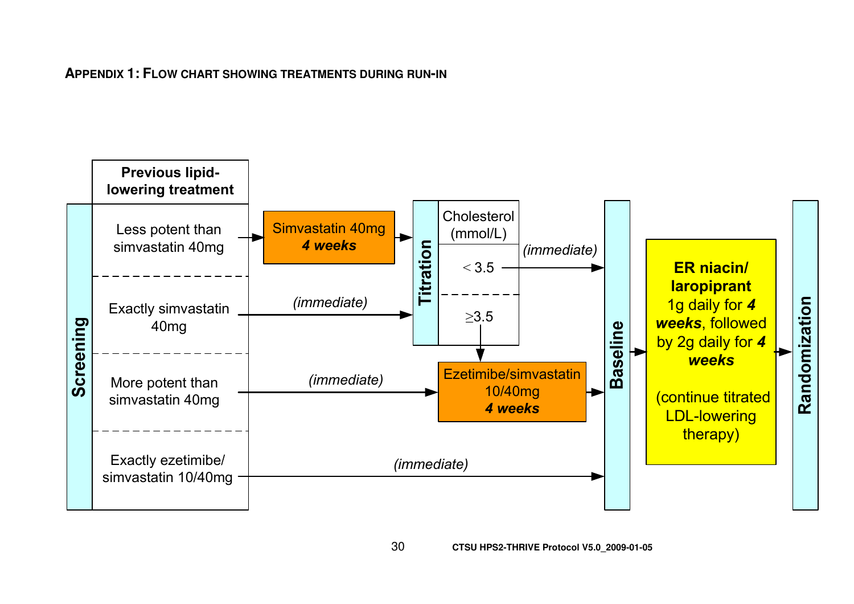**APPENDIX 1: <sup>F</sup>LOW CHART SHOWING TREATMENTS DURING RUN-IN**

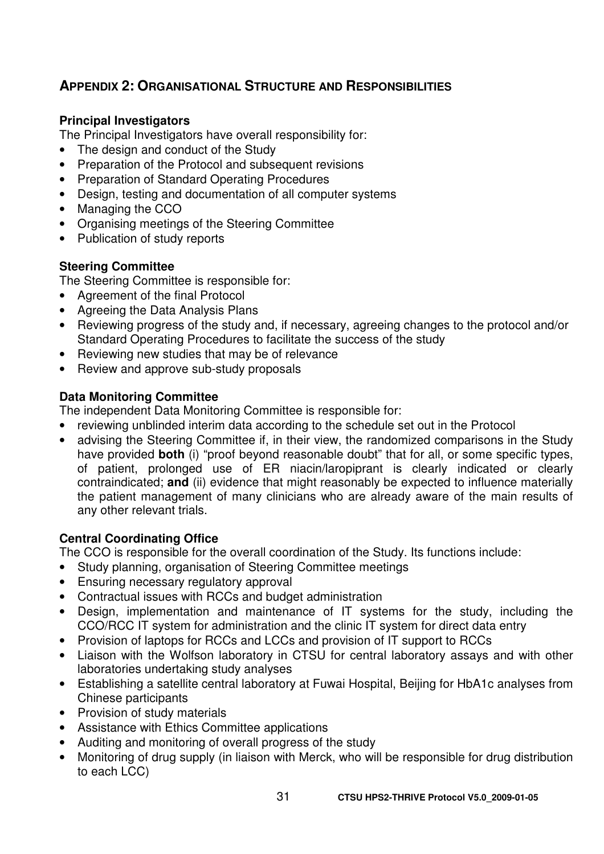## **APPENDIX 2: ORGANISATIONAL STRUCTURE AND RESPONSIBILITIES**

#### **Principal Investigators**

The Principal Investigators have overall responsibility for:

- The design and conduct of the Study
- Preparation of the Protocol and subsequent revisions
- Preparation of Standard Operating Procedures
- Design, testing and documentation of all computer systems
- Managing the CCO
- Organising meetings of the Steering Committee
- Publication of study reports

#### **Steering Committee**

The Steering Committee is responsible for:

- Agreement of the final Protocol
- Agreeing the Data Analysis Plans
- Reviewing progress of the study and, if necessary, agreeing changes to the protocol and/or Standard Operating Procedures to facilitate the success of the study
- Reviewing new studies that may be of relevance
- Review and approve sub-study proposals

#### **Data Monitoring Committee**

The independent Data Monitoring Committee is responsible for:

- reviewing unblinded interim data according to the schedule set out in the Protocol
- advising the Steering Committee if, in their view, the randomized comparisons in the Study have provided **both** (i) "proof beyond reasonable doubt" that for all, or some specific types, of patient, prolonged use of ER niacin/laropiprant is clearly indicated or clearly contraindicated; **and** (ii) evidence that might reasonably be expected to influence materially the patient management of many clinicians who are already aware of the main results of any other relevant trials.

### **Central Coordinating Office**

The CCO is responsible for the overall coordination of the Study. Its functions include:

- Study planning, organisation of Steering Committee meetings
- Ensuring necessary regulatory approval
- Contractual issues with RCCs and budget administration
- Design, implementation and maintenance of IT systems for the study, including the CCO/RCC IT system for administration and the clinic IT system for direct data entry
- Provision of laptops for RCCs and LCCs and provision of IT support to RCCs
- Liaison with the Wolfson laboratory in CTSU for central laboratory assays and with other laboratories undertaking study analyses
- Establishing a satellite central laboratory at Fuwai Hospital, Beijing for HbA1c analyses from Chinese participants
- Provision of study materials
- Assistance with Ethics Committee applications
- Auditing and monitoring of overall progress of the study
- Monitoring of drug supply (in liaison with Merck, who will be responsible for drug distribution to each LCC)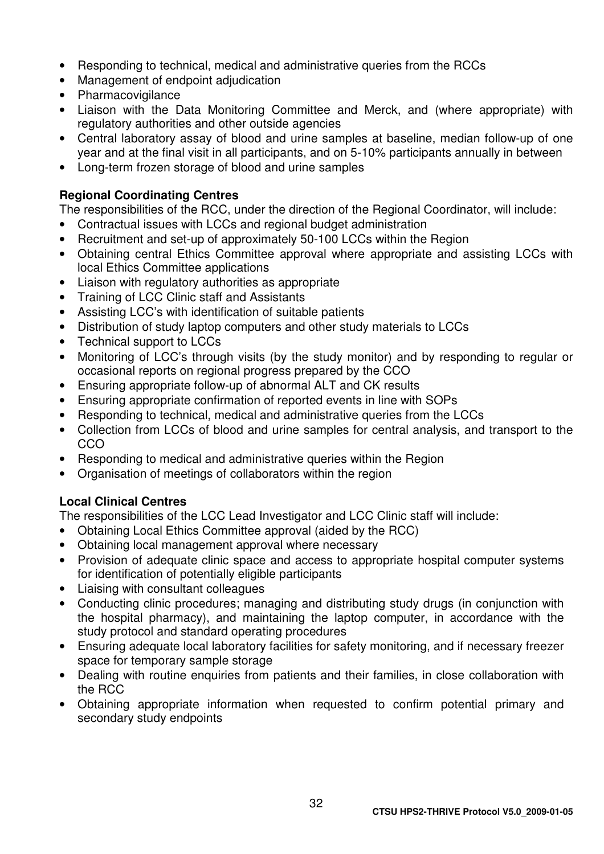- Responding to technical, medical and administrative queries from the RCCs
- Management of endpoint adjudication
- Pharmacovigilance
- Liaison with the Data Monitoring Committee and Merck, and (where appropriate) with regulatory authorities and other outside agencies
- Central laboratory assay of blood and urine samples at baseline, median follow-up of one year and at the final visit in all participants, and on 5-10% participants annually in between
- Long-term frozen storage of blood and urine samples

#### **Regional Coordinating Centres**

The responsibilities of the RCC, under the direction of the Regional Coordinator, will include:

- Contractual issues with LCCs and regional budget administration
- Recruitment and set-up of approximately 50-100 LCCs within the Region
- Obtaining central Ethics Committee approval where appropriate and assisting LCCs with local Ethics Committee applications
- Liaison with regulatory authorities as appropriate
- Training of LCC Clinic staff and Assistants
- Assisting LCC's with identification of suitable patients
- Distribution of study laptop computers and other study materials to LCCs
- Technical support to LCCs
- Monitoring of LCC's through visits (by the study monitor) and by responding to regular or occasional reports on regional progress prepared by the CCO
- Ensuring appropriate follow-up of abnormal ALT and CK results
- Ensuring appropriate confirmation of reported events in line with SOPs
- Responding to technical, medical and administrative queries from the LCCs
- Collection from LCCs of blood and urine samples for central analysis, and transport to the CCO
- Responding to medical and administrative queries within the Region
- Organisation of meetings of collaborators within the region

### **Local Clinical Centres**

The responsibilities of the LCC Lead Investigator and LCC Clinic staff will include:

- Obtaining Local Ethics Committee approval (aided by the RCC)
- Obtaining local management approval where necessary
- Provision of adequate clinic space and access to appropriate hospital computer systems for identification of potentially eligible participants
- Liaising with consultant colleagues
- Conducting clinic procedures; managing and distributing study drugs (in conjunction with the hospital pharmacy), and maintaining the laptop computer, in accordance with the study protocol and standard operating procedures
- Ensuring adequate local laboratory facilities for safety monitoring, and if necessary freezer space for temporary sample storage
- Dealing with routine enquiries from patients and their families, in close collaboration with the RCC
- Obtaining appropriate information when requested to confirm potential primary and secondary study endpoints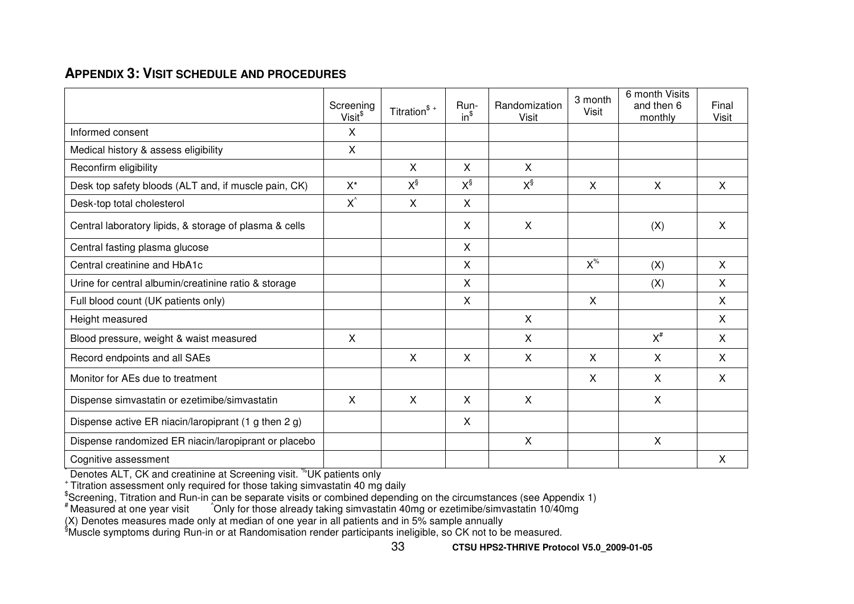## **APPENDIX 3: <sup>V</sup>ISIT SCHEDULE AND PROCEDURES**

|                                                        | Screening<br>Visit <sup>\$</sup> | Titration $*$ | Run-<br>$in^{\$}$ | Randomization<br><b>Visit</b> | 3 month<br><b>Visit</b> | 6 month Visits<br>and then 6<br>monthly | Final<br><b>Visit</b> |
|--------------------------------------------------------|----------------------------------|---------------|-------------------|-------------------------------|-------------------------|-----------------------------------------|-----------------------|
| Informed consent                                       | X                                |               |                   |                               |                         |                                         |                       |
| Medical history & assess eligibility                   | X                                |               |                   |                               |                         |                                         |                       |
| Reconfirm eligibility                                  |                                  | $\mathsf{X}$  | $\mathsf{X}$      | X                             |                         |                                         |                       |
| Desk top safety bloods (ALT and, if muscle pain, CK)   | $X^*$                            | $X^{\S}$      | $X^{\S}$          | $X^{\S}$                      | $\sf X$                 | X                                       | X                     |
| Desk-top total cholesterol                             | $X^{\wedge}$                     | $\mathsf{X}$  | $\mathsf{X}$      |                               |                         |                                         |                       |
| Central laboratory lipids, & storage of plasma & cells |                                  |               | X                 | $\sf X$                       |                         | (X)                                     | $\sf X$               |
| Central fasting plasma glucose                         |                                  |               | X                 |                               |                         |                                         |                       |
| Central creatinine and HbA1c                           |                                  |               | $\mathsf{X}$      |                               | $X^{\%}$                | (X)                                     | $\mathsf{X}$          |
| Urine for central albumin/creatinine ratio & storage   |                                  |               | X                 |                               |                         | (X)                                     | X                     |
| Full blood count (UK patients only)                    |                                  |               | $\sf X$           |                               | $\sf X$                 |                                         | $\mathsf{X}$          |
| Height measured                                        |                                  |               |                   | X                             |                         |                                         | X                     |
| Blood pressure, weight & waist measured                | X                                |               |                   | X                             |                         | $X^{\#}$                                | X                     |
| Record endpoints and all SAEs                          |                                  | X             | X                 | X                             | $\sf X$                 | $\mathsf{X}$                            | X                     |
| Monitor for AEs due to treatment                       |                                  |               |                   |                               | $\sf X$                 | X                                       | X                     |
| Dispense simvastatin or ezetimibe/simvastatin          | X                                | X.            | X                 | X                             |                         | X                                       |                       |
| Dispense active ER niacin/laropiprant (1 g then 2 g)   |                                  |               | X                 |                               |                         |                                         |                       |
| Dispense randomized ER niacin/laropiprant or placebo   |                                  |               |                   | X                             |                         | X                                       |                       |
| Cognitive assessment                                   |                                  |               |                   |                               |                         |                                         | $\sf X$               |

Denotes ALT, CK and creatinine at Screening visit. <sup>%</sup>UK patients only

<sup>+</sup> Titration assessment only required for those taking simvastatin 40 mg daily<br>
<sup>\*</sup>Screening, Titration and Run-in can be separate visits or combined depending on the circumstances (see Appendix 1)<br>
\* Measured at one year

<sup>§</sup>Muscle symptoms during Run-in or at Randomisation render participants ineligible, so CK not to be measured.

33 **CTSU HPS2-THRIVE Protocol V5.0\_2009-01-05**